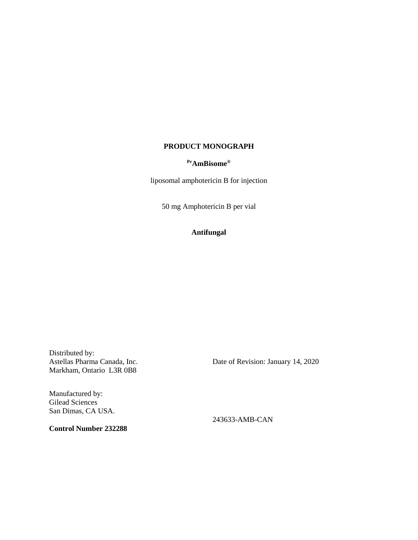## **PRODUCT MONOGRAPH**

## **PrAmBisome®**

liposomal amphotericin B for injection

50 mg Amphotericin B per vial

# **Antifungal**

Distributed by: Astellas Pharma Canada, Inc. Markham, Ontario L3R 0B8

Manufactured by: Gilead Sciences San Dimas, CA USA.

**Control Number 232288**

Date of Revision: January 14, 2020

243633-AMB-CAN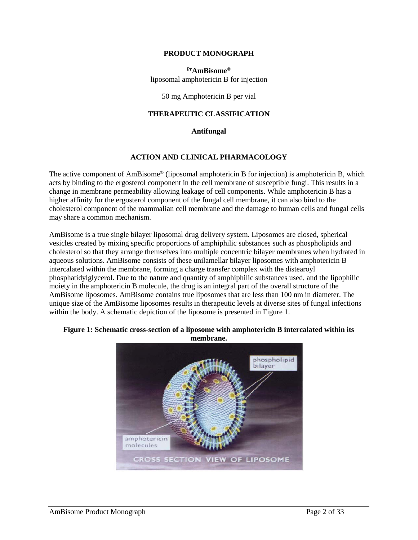### **PRODUCT MONOGRAPH**

**PrAmBisome®** liposomal amphotericin B for injection

50 mg Amphotericin B per vial

### **THERAPEUTIC CLASSIFICATION**

#### **Antifungal**

#### **ACTION AND CLINICAL PHARMACOLOGY**

The active component of AmBisome® (liposomal amphotericin B for injection) is amphotericin B, which acts by binding to the ergosterol component in the cell membrane of susceptible fungi. This results in a change in membrane permeability allowing leakage of cell components. While amphotericin B has a higher affinity for the ergosterol component of the fungal cell membrane, it can also bind to the cholesterol component of the mammalian cell membrane and the damage to human cells and fungal cells may share a common mechanism.

AmBisome is a true single bilayer liposomal drug delivery system. Liposomes are closed, spherical vesicles created by mixing specific proportions of amphiphilic substances such as phospholipids and cholesterol so that they arrange themselves into multiple concentric bilayer membranes when hydrated in aqueous solutions. AmBisome consists of these unilamellar bilayer liposomes with amphotericin B intercalated within the membrane, forming a charge transfer complex with the distearoyl phosphatidylglycerol. Due to the nature and quantity of amphiphilic substances used, and the lipophilic moiety in the amphotericin B molecule, the drug is an integral part of the overall structure of the AmBisome liposomes. AmBisome contains true liposomes that are less than 100 nm in diameter. The unique size of the AmBisome liposomes results in therapeutic levels at diverse sites of fungal infections within the body. A schematic depiction of the liposome is presented in Figure 1.

### **Figure 1: Schematic cross-section of a liposome with amphotericin B intercalated within its membrane.**

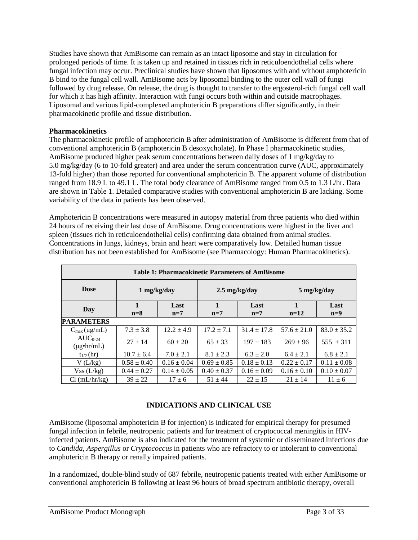Studies have shown that AmBisome can remain as an intact liposome and stay in circulation for prolonged periods of time. It is taken up and retained in tissues rich in reticuloendothelial cells where fungal infection may occur. Preclinical studies have shown that liposomes with and without amphotericin B bind to the fungal cell wall. AmBisome acts by liposomal binding to the outer cell wall of fungi followed by drug release. On release, the drug is thought to transfer to the ergosterol-rich fungal cell wall for which it has high affinity. Interaction with fungi occurs both within and outside macrophages. Liposomal and various lipid-complexed amphotericin B preparations differ significantly, in their pharmacokinetic profile and tissue distribution.

# **Pharmacokinetics**

The pharmacokinetic profile of amphotericin B after administration of AmBisome is different from that of conventional amphotericin B (amphotericin B desoxycholate). In Phase I pharmacokinetic studies, AmBisome produced higher peak serum concentrations between daily doses of 1 mg/kg/day to 5.0 mg/kg/day (6 to 10-fold greater) and area under the serum concentration curve (AUC, approximately 13-fold higher) than those reported for conventional amphotericin B. The apparent volume of distribution ranged from 18.9 L to 49.1 L. The total body clearance of AmBisome ranged from 0.5 to 1.3 L/hr. Data are shown in Table 1. Detailed comparative studies with conventional amphotericin B are lacking. Some variability of the data in patients has been observed.

Amphotericin B concentrations were measured in autopsy material from three patients who died within 24 hours of receiving their last dose of AmBisome. Drug concentrations were highest in the liver and spleen (tissues rich in reticuloendothelial cells) confirming data obtained from animal studies. Concentrations in lungs, kidneys, brain and heart were comparatively low. Detailed human tissue distribution has not been established for AmBisome (see Pharmacology: Human Pharmacokinetics).

| <b>Table 1: Pharmacokinetic Parameters of AmBisome</b> |                       |                 |                         |                 |                 |                 |
|--------------------------------------------------------|-----------------------|-----------------|-------------------------|-----------------|-----------------|-----------------|
| <b>Dose</b>                                            | $1$ mg/kg/day         |                 | $2.5 \text{ mg/kg/day}$ |                 | 5 mg/kg/day     |                 |
| Day                                                    | $\mathbf{1}$<br>$n=8$ | Last<br>$n=7$   | 1<br>$n=7$              | Last<br>$n=7$   | 1<br>$n=12$     | Last<br>$n=9$   |
| <b>PARAMETERS</b>                                      |                       |                 |                         |                 |                 |                 |
| $C_{\text{max}}(\mu g/mL)$                             | $7.3 \pm 3.8$         | $12.2 \pm 4.9$  | $17.2 \pm 7.1$          | $31.4 \pm 17.8$ | $57.6 \pm 21.0$ | $83.0 \pm 35.2$ |
| $AUC_{0.24}$<br>$(\mu g\cdot hr/mL)$                   | $27 + 14$             | $60 \pm 20$     | $65 \pm 33$             | $197 \pm 183$   | $269 \pm 96$    | $555 \pm 311$   |
| $t_{1/2}$ (hr)                                         | $10.7 \pm 6.4$        | $7.0 \pm 2.1$   | $8.1 \pm 2.3$           | $6.3 \pm 2.0$   | $6.4 \pm 2.1$   | $6.8 \pm 2.1$   |
| $V$ (L/kg)                                             | $0.58 \pm 0.40$       | $0.16 \pm 0.04$ | $0.69 \pm 0.85$         | $0.18 \pm 0.13$ | $0.22 \pm 0.17$ | $0.11 \pm 0.08$ |
| Vss(L/kg)                                              | $0.44 \pm 0.27$       | $0.14 \pm 0.05$ | $0.40 \pm 0.37$         | $0.16 \pm 0.09$ | $0.16 \pm 0.10$ | $0.10 \pm 0.07$ |
| Cl (mL/hr/kg)                                          | $39 + 22$             | $17 \pm 6$      | $51 \pm 44$             | $22 + 15$       | $21 \pm 14$     | $11 \pm 6$      |

# **INDICATIONS AND CLINICAL USE**

AmBisome (liposomal amphotericin B for injection) is indicated for empirical therapy for presumed fungal infection in febrile, neutropenic patients and for treatment of cryptococcal meningitis in HIVinfected patients. AmBisome is also indicated for the treatment of systemic or disseminated infections due to *Candida, Aspergillus* or *Cryptococcus* in patients who are refractory to or intolerant to conventional amphotericin B therapy or renally impaired patients.

In a randomized, double-blind study of 687 febrile, neutropenic patients treated with either AmBisome or conventional amphotericin B following at least 96 hours of broad spectrum antibiotic therapy, overall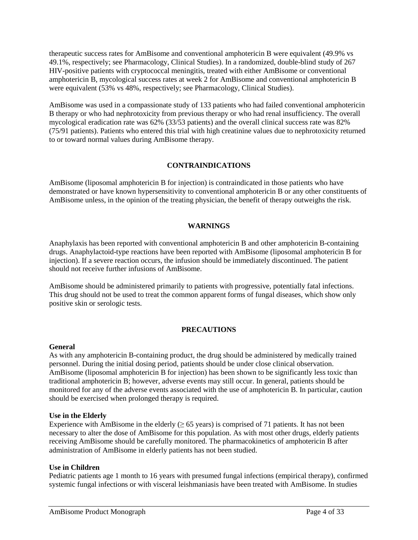therapeutic success rates for AmBisome and conventional amphotericin B were equivalent (49.9% vs 49.1%, respectively; see Pharmacology, Clinical Studies). In a randomized, double-blind study of 267 HIV-positive patients with cryptococcal meningitis, treated with either AmBisome or conventional amphotericin B, mycological success rates at week 2 for AmBisome and conventional amphotericin B were equivalent (53% vs 48%, respectively; see Pharmacology, Clinical Studies).

AmBisome was used in a compassionate study of 133 patients who had failed conventional amphotericin B therapy or who had nephrotoxicity from previous therapy or who had renal insufficiency. The overall mycological eradication rate was 62% (33/53 patients) and the overall clinical success rate was 82% (75/91 patients). Patients who entered this trial with high creatinine values due to nephrotoxicity returned to or toward normal values during AmBisome therapy.

# **CONTRAINDICATIONS**

AmBisome (liposomal amphotericin B for injection) is contraindicated in those patients who have demonstrated or have known hypersensitivity to conventional amphotericin B or any other constituents of AmBisome unless, in the opinion of the treating physician, the benefit of therapy outweighs the risk.

# **WARNINGS**

Anaphylaxis has been reported with conventional amphotericin B and other amphotericin B-containing drugs. Anaphylactoid-type reactions have been reported with AmBisome (liposomal amphotericin B for injection). If a severe reaction occurs, the infusion should be immediately discontinued. The patient should not receive further infusions of AmBisome.

AmBisome should be administered primarily to patients with progressive, potentially fatal infections. This drug should not be used to treat the common apparent forms of fungal diseases, which show only positive skin or serologic tests.

# **PRECAUTIONS**

### **General**

As with any amphotericin B-containing product, the drug should be administered by medically trained personnel. During the initial dosing period, patients should be under close clinical observation. AmBisome (liposomal amphotericin B for injection) has been shown to be significantly less toxic than traditional amphotericin B; however, adverse events may still occur. In general, patients should be monitored for any of the adverse events associated with the use of amphotericin B. In particular, caution should be exercised when prolonged therapy is required.

### **Use in the Elderly**

Experience with AmBisome in the elderly  $(≥ 65 \text{ years})$  is comprised of 71 patients. It has not been necessary to alter the dose of AmBisome for this population. As with most other drugs, elderly patients receiving AmBisome should be carefully monitored. The pharmacokinetics of amphotericin B after administration of AmBisome in elderly patients has not been studied.

# **Use in Children**

Pediatric patients age 1 month to 16 years with presumed fungal infections (empirical therapy), confirmed systemic fungal infections or with visceral leishmaniasis have been treated with AmBisome. In studies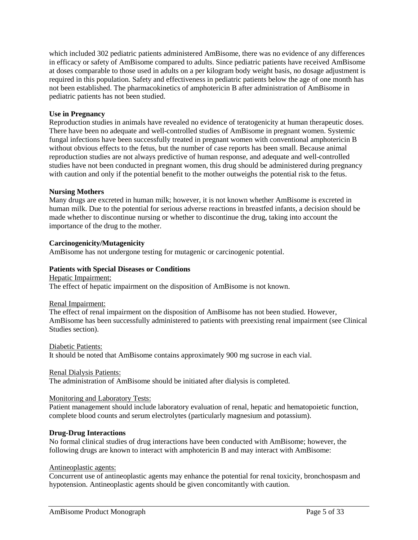which included 302 pediatric patients administered AmBisome, there was no evidence of any differences in efficacy or safety of AmBisome compared to adults. Since pediatric patients have received AmBisome at doses comparable to those used in adults on a per kilogram body weight basis, no dosage adjustment is required in this population. Safety and effectiveness in pediatric patients below the age of one month has not been established. The pharmacokinetics of amphotericin B after administration of AmBisome in pediatric patients has not been studied.

# **Use in Pregnancy**

Reproduction studies in animals have revealed no evidence of teratogenicity at human therapeutic doses. There have been no adequate and well-controlled studies of AmBisome in pregnant women. Systemic fungal infections have been successfully treated in pregnant women with conventional amphotericin B without obvious effects to the fetus, but the number of case reports has been small. Because animal reproduction studies are not always predictive of human response, and adequate and well-controlled studies have not been conducted in pregnant women, this drug should be administered during pregnancy with caution and only if the potential benefit to the mother outweighs the potential risk to the fetus.

### **Nursing Mothers**

Many drugs are excreted in human milk; however, it is not known whether AmBisome is excreted in human milk. Due to the potential for serious adverse reactions in breastfed infants, a decision should be made whether to discontinue nursing or whether to discontinue the drug, taking into account the importance of the drug to the mother.

### **Carcinogenicity/Mutagenicity**

AmBisome has not undergone testing for mutagenic or carcinogenic potential.

# **Patients with Special Diseases or Conditions**

Hepatic Impairment: The effect of hepatic impairment on the disposition of AmBisome is not known.

### Renal Impairment:

The effect of renal impairment on the disposition of AmBisome has not been studied. However, AmBisome has been successfully administered to patients with preexisting renal impairment (see Clinical Studies section).

Diabetic Patients: It should be noted that AmBisome contains approximately 900 mg sucrose in each vial.

### Renal Dialysis Patients:

The administration of AmBisome should be initiated after dialysis is completed.

### Monitoring and Laboratory Tests:

Patient management should include laboratory evaluation of renal, hepatic and hematopoietic function, complete blood counts and serum electrolytes (particularly magnesium and potassium).

### **Drug-Drug Interactions**

No formal clinical studies of drug interactions have been conducted with AmBisome; however, the following drugs are known to interact with amphotericin B and may interact with AmBisome:

### Antineoplastic agents:

Concurrent use of antineoplastic agents may enhance the potential for renal toxicity, bronchospasm and hypotension. Antineoplastic agents should be given concomitantly with caution.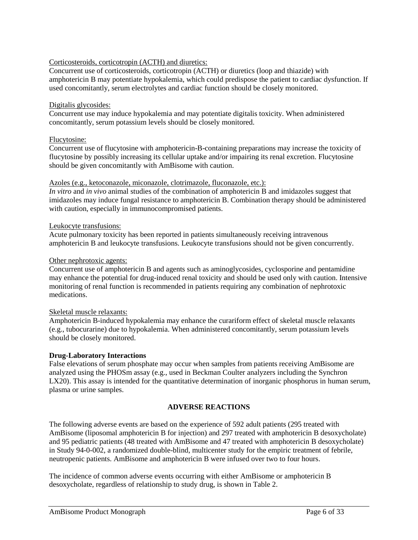# Corticosteroids, corticotropin (ACTH) and diuretics:

Concurrent use of corticosteroids, corticotropin (ACTH) or diuretics (loop and thiazide) with amphotericin B may potentiate hypokalemia, which could predispose the patient to cardiac dysfunction. If used concomitantly, serum electrolytes and cardiac function should be closely monitored.

### Digitalis glycosides:

Concurrent use may induce hypokalemia and may potentiate digitalis toxicity. When administered concomitantly, serum potassium levels should be closely monitored.

# Flucytosine:

Concurrent use of flucytosine with amphotericin-B-containing preparations may increase the toxicity of flucytosine by possibly increasing its cellular uptake and/or impairing its renal excretion. Flucytosine should be given concomitantly with AmBisome with caution.

### Azoles (e.g., ketoconazole, miconazole, clotrimazole, fluconazole, etc.):

*In vitro* and *in vivo* animal studies of the combination of amphotericin B and imidazoles suggest that imidazoles may induce fungal resistance to amphotericin B. Combination therapy should be administered with caution, especially in immunocompromised patients.

# Leukocyte transfusions:

Acute pulmonary toxicity has been reported in patients simultaneously receiving intravenous amphotericin B and leukocyte transfusions. Leukocyte transfusions should not be given concurrently.

# Other nephrotoxic agents:

Concurrent use of amphotericin B and agents such as aminoglycosides, cyclosporine and pentamidine may enhance the potential for drug-induced renal toxicity and should be used only with caution. Intensive monitoring of renal function is recommended in patients requiring any combination of nephrotoxic medications.

### Skeletal muscle relaxants:

Amphotericin B-induced hypokalemia may enhance the curariform effect of skeletal muscle relaxants (e.g., tubocurarine) due to hypokalemia. When administered concomitantly, serum potassium levels should be closely monitored.

# **Drug-Laboratory Interactions**

False elevations of serum phosphate may occur when samples from patients receiving AmBisome are analyzed using the PHOSm assay (e.g., used in Beckman Coulter analyzers including the Synchron LX20). This assay is intended for the quantitative determination of inorganic phosphorus in human serum, plasma or urine samples.

# **ADVERSE REACTIONS**

The following adverse events are based on the experience of 592 adult patients (295 treated with AmBisome (liposomal amphotericin B for injection) and 297 treated with amphotericin B desoxycholate) and 95 pediatric patients (48 treated with AmBisome and 47 treated with amphotericin B desoxycholate) in Study 94-0-002, a randomized double-blind, multicenter study for the empiric treatment of febrile, neutropenic patients. AmBisome and amphotericin B were infused over two to four hours.

The incidence of common adverse events occurring with either AmBisome or amphotericin B desoxycholate, regardless of relationship to study drug, is shown in Table 2.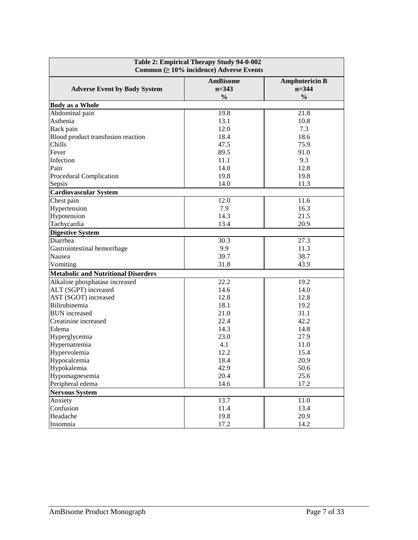| Table 2: Empirical Therapy Study 94-0-002<br>Common $( \geq 10\%$ incidence) Adverse Events |                                               |                                                     |  |
|---------------------------------------------------------------------------------------------|-----------------------------------------------|-----------------------------------------------------|--|
| <b>Adverse Event by Body System</b>                                                         | <b>AmBisome</b><br>$n = 343$<br>$\frac{0}{0}$ | <b>Amphotericin B</b><br>$n = 344$<br>$\frac{0}{0}$ |  |
| <b>Body as a Whole</b>                                                                      |                                               |                                                     |  |
| Abdominal pain                                                                              | 19.8                                          | 21.8                                                |  |
| Asthenia                                                                                    | 13.1                                          | 10.8                                                |  |
| Back pain                                                                                   | 12.0                                          | 7.3                                                 |  |
| Blood product transfusion reaction                                                          | 18.4                                          | 18.6                                                |  |
| Chills                                                                                      | 47.5                                          | 75.9                                                |  |
| Fever                                                                                       | 89.5                                          | 91.0                                                |  |
| Infection                                                                                   | 11.1                                          | 9.3                                                 |  |
| Pain                                                                                        | 14.0                                          | 12.8                                                |  |
| Procedural Complication                                                                     | 19.8                                          | 19.8                                                |  |
| Sepsis                                                                                      | 14.0                                          | 11.3                                                |  |
| <b>Cardiovascular System</b>                                                                |                                               |                                                     |  |
| Chest pain                                                                                  | 12.0                                          | 11.6                                                |  |
| Hypertension                                                                                | 7.9                                           | 16.3                                                |  |
| Hypotension                                                                                 | 14.3                                          | 21.5                                                |  |
| Tachycardia                                                                                 | 13.4                                          | 20.9                                                |  |
| <b>Digestive System</b>                                                                     |                                               |                                                     |  |
| Diarrhea                                                                                    | 30.3                                          | 27.3                                                |  |
| Gastrointestinal hemorrhage                                                                 | 9.9                                           | 11.3                                                |  |
| Nausea                                                                                      | 39.7                                          | 38.7                                                |  |
| Vomiting                                                                                    | 31.8                                          | 43.9                                                |  |
| <b>Metabolic and Nutritional Disorders</b>                                                  |                                               |                                                     |  |
| Alkaline phosphatase increased                                                              | 22.2                                          | 19.2                                                |  |
| ALT (SGPT) increased                                                                        | 14.6                                          | 14.0                                                |  |
| AST (SGOT) increased                                                                        | 12.8                                          | 12.8                                                |  |
| Bilirubinemia                                                                               | 18.1                                          | 19.2                                                |  |
| <b>BUN</b> increased                                                                        | 21.0                                          | 31.1                                                |  |
| Creatinine increased                                                                        | 22.4                                          | 42.2                                                |  |
| Edema                                                                                       | 14.3                                          | 14.8                                                |  |
| Hyperglycemia                                                                               | 23.0                                          | 27.9                                                |  |
| Hypernatremia                                                                               | 4.1                                           | 11.0                                                |  |
| Hypervolemia                                                                                | 12.2                                          | 15.4                                                |  |
| Hypocalcemia                                                                                | 18.4                                          | 20.9                                                |  |
| Hypokalemia                                                                                 | 42.9                                          | 50.6                                                |  |
| Hypomagnesemia                                                                              | 20.4                                          | 25.6                                                |  |
| Peripheral edema                                                                            | 14.6                                          | 17.2                                                |  |
| <b>Nervous System</b>                                                                       |                                               |                                                     |  |
| Anxiety                                                                                     | 13.7                                          | 11.0                                                |  |
| Confusion                                                                                   | 11.4                                          | 13.4                                                |  |
| Headache                                                                                    | 19.8                                          | 20.9                                                |  |
| Insomnia                                                                                    | 17.2                                          | 14.2                                                |  |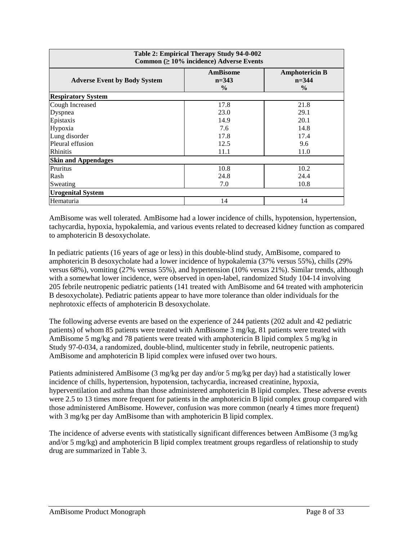| Table 2: Empirical Therapy Study 94-0-002<br>Common $( \geq 10\%$ incidence) Adverse Events |                                             |                                                     |  |
|---------------------------------------------------------------------------------------------|---------------------------------------------|-----------------------------------------------------|--|
| <b>Adverse Event by Body System</b>                                                         | <b>AmBisome</b><br>$n=343$<br>$\frac{0}{0}$ | <b>Amphotericin B</b><br>$n = 344$<br>$\frac{0}{0}$ |  |
| <b>Respiratory System</b>                                                                   |                                             |                                                     |  |
| Cough Increased                                                                             | 17.8                                        | 21.8                                                |  |
| Dyspnea                                                                                     | 23.0                                        | 29.1                                                |  |
| Epistaxis                                                                                   | 14.9                                        | 20.1                                                |  |
| Hypoxia                                                                                     | 7.6                                         | 14.8                                                |  |
| Lung disorder                                                                               | 17.8                                        | 17.4                                                |  |
| Pleural effusion                                                                            | 12.5                                        | 9.6                                                 |  |
| <b>Rhinitis</b>                                                                             | 11.1                                        | 11.0                                                |  |
| <b>Skin and Appendages</b>                                                                  |                                             |                                                     |  |
| <b>Pruritus</b>                                                                             | 10.8                                        | 10.2                                                |  |
| Rash                                                                                        | 24.8                                        | 24.4                                                |  |
| Sweating                                                                                    | 7.0                                         | 10.8                                                |  |
| <b>Urogenital System</b>                                                                    |                                             |                                                     |  |
| Hematuria                                                                                   | 14                                          | 14                                                  |  |

AmBisome was well tolerated. AmBisome had a lower incidence of chills, hypotension, hypertension, tachycardia, hypoxia, hypokalemia, and various events related to decreased kidney function as compared to amphotericin B desoxycholate.

In pediatric patients (16 years of age or less) in this double-blind study, AmBisome, compared to amphotericin B desoxycholate had a lower incidence of hypokalemia (37% versus 55%), chills (29% versus 68%), vomiting (27% versus 55%), and hypertension (10% versus 21%). Similar trends, although with a somewhat lower incidence, were observed in open-label, randomized Study 104-14 involving 205 febrile neutropenic pediatric patients (141 treated with AmBisome and 64 treated with amphotericin B desoxycholate). Pediatric patients appear to have more tolerance than older individuals for the nephrotoxic effects of amphotericin B desoxycholate.

The following adverse events are based on the experience of 244 patients (202 adult and 42 pediatric patients) of whom 85 patients were treated with AmBisome 3 mg/kg, 81 patients were treated with AmBisome 5 mg/kg and 78 patients were treated with amphotericin B lipid complex 5 mg/kg in Study 97-0-034, a randomized, double-blind, multicenter study in febrile, neutropenic patients. AmBisome and amphotericin B lipid complex were infused over two hours.

Patients administered AmBisome (3 mg/kg per day and/or 5 mg/kg per day) had a statistically lower incidence of chills, hypertension, hypotension, tachycardia, increased creatinine, hypoxia, hyperventilation and asthma than those administered amphotericin B lipid complex. These adverse events were 2.5 to 13 times more frequent for patients in the amphotericin B lipid complex group compared with those administered AmBisome. However, confusion was more common (nearly 4 times more frequent) with 3 mg/kg per day AmBisome than with amphotericin B lipid complex.

The incidence of adverse events with statistically significant differences between AmBisome (3 mg/kg and/or 5 mg/kg) and amphotericin B lipid complex treatment groups regardless of relationship to study drug are summarized in Table 3.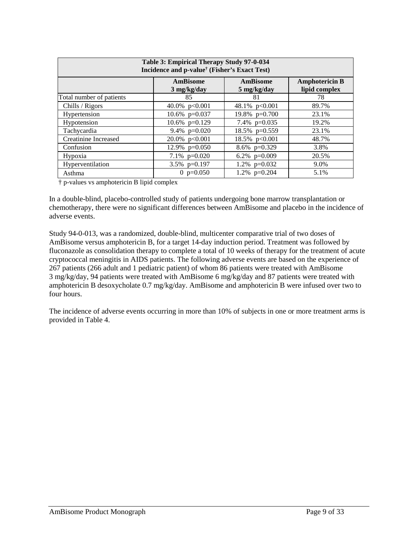| Table 3: Empirical Therapy Study 97-0-034<br>Incidence and p-value <sup>†</sup> (Fisher's Exact Test) |                                   |                         |                                        |
|-------------------------------------------------------------------------------------------------------|-----------------------------------|-------------------------|----------------------------------------|
|                                                                                                       | AmBisome<br>$3 \text{ mg/kg/day}$ | AmBisome<br>5 mg/kg/day | <b>Amphotericin B</b><br>lipid complex |
| Total number of patients                                                                              | 85                                | 81                      | 78                                     |
| Chills / Rigors                                                                                       | 40.0% p<0.001                     | 48.1% p<0.001           | 89.7%                                  |
| Hypertension                                                                                          | 10.6% $p=0.037$                   | 19.8% $p=0.700$         | 23.1%                                  |
| Hypotension                                                                                           | 10.6% $p=0.129$                   | 7.4% $p=0.035$          | 19.2%                                  |
| Tachycardia                                                                                           | 9.4% $p=0.020$                    | 18.5% p=0.559           | 23.1%                                  |
| Creatinine Increased                                                                                  | $20.0\%$ p<0.001                  | 18.5% $p<0.001$         | 48.7%                                  |
| Confusion                                                                                             | 12.9% $p=0.050$                   | 8.6% $p=0.329$          | 3.8%                                   |
| Hypoxia                                                                                               | 7.1\% $p=0.020$                   | 6.2% $p=0.009$          | 20.5%                                  |
| Hyperventilation                                                                                      | 3.5% $p=0.197$                    | 1.2\% $p=0.032$         | 9.0%                                   |
| Asthma                                                                                                | 0 $p=0.050$                       | 1.2% $p=0.204$          | 5.1%                                   |

† p-values vs amphotericin B lipid complex

In a double-blind, placebo-controlled study of patients undergoing bone marrow transplantation or chemotherapy, there were no significant differences between AmBisome and placebo in the incidence of adverse events.

Study 94-0-013, was a randomized, double-blind, multicenter comparative trial of two doses of AmBisome versus amphotericin B, for a target 14-day induction period. Treatment was followed by fluconazole as consolidation therapy to complete a total of 10 weeks of therapy for the treatment of acute cryptococcal meningitis in AIDS patients. The following adverse events are based on the experience of 267 patients (266 adult and 1 pediatric patient) of whom 86 patients were treated with AmBisome 3 mg/kg/day, 94 patients were treated with AmBisome 6 mg/kg/day and 87 patients were treated with amphotericin B desoxycholate 0.7 mg/kg/day. AmBisome and amphotericin B were infused over two to four hours.

The incidence of adverse events occurring in more than 10% of subjects in one or more treatment arms is provided in Table 4.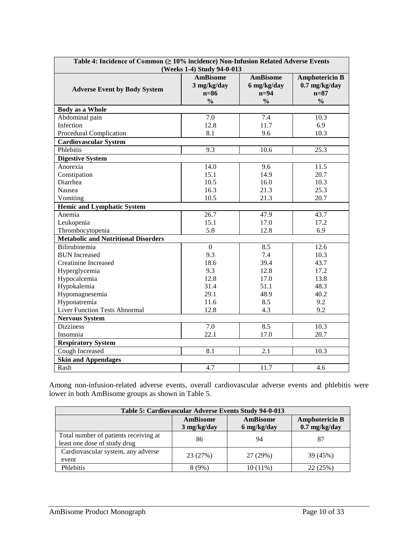| Table 4: Incidence of Common ( $\geq 10\%$ incidence) Non-Infusion Related Adverse Events |                            |                 |                       |  |
|-------------------------------------------------------------------------------------------|----------------------------|-----------------|-----------------------|--|
|                                                                                           | (Weeks 1-4) Study 94-0-013 |                 |                       |  |
|                                                                                           | <b>AmBisome</b>            | <b>AmBisome</b> | <b>Amphotericin B</b> |  |
| <b>Adverse Event by Body System</b>                                                       | $3$ mg/kg/day              | 6 mg/kg/day     | $0.7$ mg/kg/day       |  |
|                                                                                           | $n=86$                     | $n=94$          | $n=87$                |  |
|                                                                                           | $\frac{0}{0}$              | $\frac{0}{0}$   | $\frac{0}{0}$         |  |
| <b>Body as a Whole</b>                                                                    |                            |                 |                       |  |
| Abdominal pain                                                                            | 7.0                        | 7.4             | 10.3                  |  |
| Infection                                                                                 | 12.8                       | 11.7            | 6.9                   |  |
| Procedural Complication                                                                   | 8.1                        | 9.6             | 10.3                  |  |
| <b>Cardiovascular System</b>                                                              |                            |                 |                       |  |
| Phlebitis                                                                                 | 9.3                        | 10.6            | 25.3                  |  |
| <b>Digestive System</b>                                                                   |                            |                 |                       |  |
| Anorexia                                                                                  | 14.0                       | 9.6             | 11.5                  |  |
| Constipation                                                                              | 15.1                       | 14.9            | 20.7                  |  |
| Diarrhea                                                                                  | 10.5                       | 16.0            | 10.3                  |  |
| Nausea                                                                                    | 16.3                       | 21.3            | 25.3                  |  |
| Vomiting                                                                                  | 10.5                       | 21.3            | 20.7                  |  |
| <b>Hemic and Lymphatic System</b>                                                         |                            |                 |                       |  |
| Anemia                                                                                    | 26.7                       | 47.9            | 43.7                  |  |
| Leukopenia                                                                                | 15.1                       | 17.0            | 17.2                  |  |
| Thrombocytopenia                                                                          | 5.8                        | 12.8            | 6.9                   |  |
| <b>Metabolic and Nutritional Disorders</b>                                                |                            |                 |                       |  |
| Bilirubinemia                                                                             | $\boldsymbol{0}$           | 8.5             | 12.6                  |  |
| <b>BUN</b> Increased                                                                      | 9.3                        | 7.4             | 10.3                  |  |
| <b>Creatinine Increased</b>                                                               | 18.6                       | 39.4            | 43.7                  |  |
| Hyperglycemia                                                                             | 9.3                        | 12.8            | 17.2                  |  |
| Hypocalcemia                                                                              | 12.8                       | 17.0            | 13.8                  |  |
| Hypokalemia                                                                               | 31.4                       | 51.1            | 48.3                  |  |
| Hypomagnesemia                                                                            | 29.1                       | 48.9            | 40.2                  |  |
| Hyponatremia                                                                              | 11.6                       | 8.5             | 9.2                   |  |
| <b>Liver Function Tests Abnormal</b>                                                      | 12.8                       | 4.3             | 9.2                   |  |
| <b>Nervous System</b>                                                                     |                            |                 |                       |  |
| <b>Dizziness</b>                                                                          | 7.0                        | 8.5             | 10.3                  |  |
| Insomnia                                                                                  | 22.1                       | 17.0            | 20.7                  |  |
| <b>Respiratory System</b>                                                                 |                            |                 |                       |  |
| Cough Increased                                                                           | 8.1                        | 2.1             | 10.3                  |  |
| <b>Skin and Appendages</b>                                                                |                            |                 |                       |  |
| Rash                                                                                      | 4.7                        | 11.7            | 4.6                   |  |

Among non-infusion-related adverse events, overall cardiovascular adverse events and phlebitis were lower in both AmBisome groups as shown in Table 5.

| Table 5: Cardiovascular Adverse Events Study 94-0-013                 |                                |                                |                                          |
|-----------------------------------------------------------------------|--------------------------------|--------------------------------|------------------------------------------|
|                                                                       | <b>AmBisome</b><br>3 mg/kg/day | <b>AmBisome</b><br>6 mg/kg/day | <b>Amphotericin B</b><br>$0.7$ mg/kg/day |
| Total number of patients receiving at<br>least one dose of study drug | 86                             | 94                             | 87                                       |
| Cardiovascular system, any adverse<br>event                           | 23 (27%)                       | 27 (29%)                       | 39 (45%)                                 |
| Phlebitis                                                             | $8(9\%)$                       | 10(11%)                        | 22 (25%)                                 |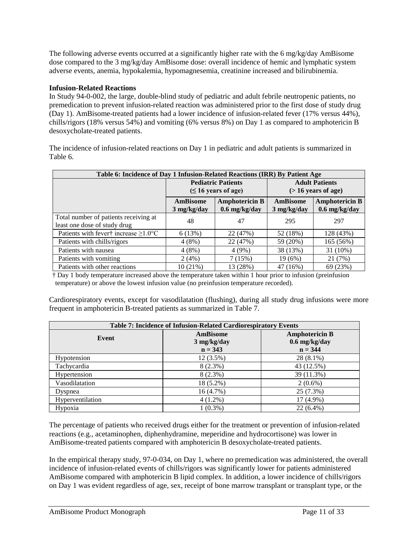The following adverse events occurred at a significantly higher rate with the 6 mg/kg/day AmBisome dose compared to the 3 mg/kg/day AmBisome dose: overall incidence of hemic and lymphatic system adverse events, anemia, hypokalemia, hypomagnesemia, creatinine increased and bilirubinemia.

# **Infusion-Related Reactions**

In Study 94-0-002, the large, double-blind study of pediatric and adult febrile neutropenic patients, no premedication to prevent infusion-related reaction was administered prior to the first dose of study drug (Day 1). AmBisome-treated patients had a lower incidence of infusion-related fever (17% versus 44%), chills/rigors (18% versus 54%) and vomiting (6% versus 8%) on Day 1 as compared to amphotericin B desoxycholate-treated patients.

The incidence of infusion-related reactions on Day 1 in pediatric and adult patients is summarized in Table 6.

| Table 6: Incidence of Day 1 Infusion-Related Reactions (IRR) By Patient Age |                                                        |                                          |                                                 |                                          |
|-----------------------------------------------------------------------------|--------------------------------------------------------|------------------------------------------|-------------------------------------------------|------------------------------------------|
|                                                                             | <b>Pediatric Patients</b><br>$( \leq 16$ years of age) |                                          | <b>Adult Patients</b><br>$($ > 16 years of age) |                                          |
|                                                                             | AmBisome<br>$3 \text{ mg/kg/day}$                      | <b>Amphotericin B</b><br>$0.6$ mg/kg/day | AmBisome<br>$3 \text{ mg/kg/day}$               | <b>Amphotericin B</b><br>$0.6$ mg/kg/day |
| Total number of patients receiving at<br>least one dose of study drug       | 48                                                     | 47                                       | 295                                             | 297                                      |
| Patients with fever <sup>†</sup> increase $\geq$ 1.0°C                      | 6(13%)                                                 | 22 (47%)                                 | 52 (18%)                                        | 128 (43%)                                |
| Patients with chills/rigors                                                 | 4(8%)                                                  | 22 (47%)                                 | 59 (20%)                                        | 165 (56%)                                |
| Patients with nausea                                                        | 4(8%)                                                  | 4(9%)                                    | 38 (13%)                                        | 31 (10%)                                 |
| Patients with vomiting                                                      | 2(4%)                                                  | 7(15%)                                   | 19(6%)                                          | 21 (7%)                                  |
| Patients with other reactions                                               | 10(21%)                                                | 13 (28%)                                 | 47 (16%)                                        | 69 (23%)                                 |

† Day 1 body temperature increased above the temperature taken within 1 hour prior to infusion (preinfusion temperature) or above the lowest infusion value (no preinfusion temperature recorded).

Cardiorespiratory events, except for vasodilatation (flushing), during all study drug infusions were more frequent in amphotericin B-treated patients as summarized in Table 7.

| Table 7: Incidence of Infusion-Related Cardiorespiratory Events |                 |                       |  |  |
|-----------------------------------------------------------------|-----------------|-----------------------|--|--|
|                                                                 | <b>AmBisome</b> | <b>Amphotericin B</b> |  |  |
| Event                                                           | 3 mg/kg/day     | $0.6$ mg/kg/day       |  |  |
|                                                                 | $n = 343$       | $n = 344$             |  |  |
| Hypotension                                                     | $12(3.5\%)$     | $28(8.1\%)$           |  |  |
| Tachycardia                                                     | $8(2.3\%)$      | 43 (12.5%)            |  |  |
| Hypertension                                                    | $8(2.3\%)$      | 39 (11.3%)            |  |  |
| Vasodilatation                                                  | 18 (5.2%)       | $2(0.6\%)$            |  |  |
| Dyspnea                                                         | 16(4.7%)        | 25(7.3%)              |  |  |
| Hyperventilation                                                | $4(1.2\%)$      | 17 (4.9%)             |  |  |
| Hypoxia                                                         | $1(0.3\%)$      | $22(6.4\%)$           |  |  |

The percentage of patients who received drugs either for the treatment or prevention of infusion-related reactions (e.g., acetaminophen, diphenhydramine, meperidine and hydrocortisone) was lower in AmBisome-treated patients compared with amphotericin B desoxycholate-treated patients.

In the empirical therapy study, 97-0-034, on Day 1, where no premedication was administered, the overall incidence of infusion-related events of chills/rigors was significantly lower for patients administered AmBisome compared with amphotericin B lipid complex. In addition, a lower incidence of chills/rigors on Day 1 was evident regardless of age, sex, receipt of bone marrow transplant or transplant type, or the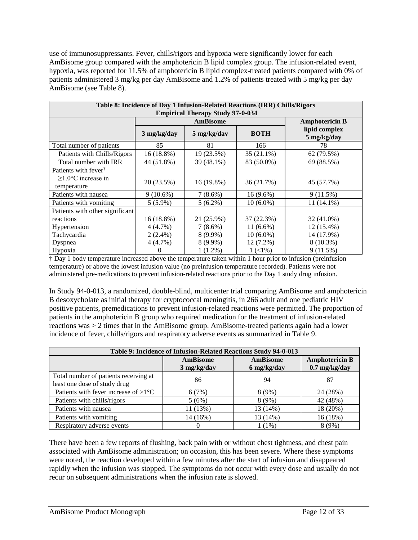use of immunosuppressants. Fever, chills/rigors and hypoxia were significantly lower for each AmBisome group compared with the amphotericin B lipid complex group. The infusion-related event, hypoxia, was reported for 11.5% of amphotericin B lipid complex-treated patients compared with 0% of patients administered 3 mg/kg per day AmBisome and 1.2% of patients treated with 5 mg/kg per day AmBisome (see Table 8).

| Table 8: Incidence of Day 1 Infusion-Related Reactions (IRR) Chills/Rigors |                                 |                 |              |                              |  |
|----------------------------------------------------------------------------|---------------------------------|-----------------|--------------|------------------------------|--|
| <b>Empirical Therapy Study 97-0-034</b>                                    |                                 |                 |              |                              |  |
|                                                                            |                                 | <b>AmBisome</b> |              | <b>Amphotericin B</b>        |  |
|                                                                            | 3 mg/kg/day                     | 5 mg/kg/day     | <b>BOTH</b>  | lipid complex<br>5 mg/kg/day |  |
| Total number of patients                                                   | 85                              | 81              | 166          | 78                           |  |
| Patients with Chills/Rigors                                                | $16(18.8\%)$                    | 19 (23.5%)      | $35(21.1\%)$ | 62 (79.5%)                   |  |
| Total number with IRR                                                      | 44 (51.8%)                      | 39 (48.1%)      | 83 (50.0%)   | 69 (88.5%)                   |  |
| Patients with fever <sup>†</sup>                                           |                                 |                 |              |                              |  |
| $>1.0$ °C increase in                                                      | 20 (23.5%)                      | $16(19.8\%)$    | 36 (21.7%)   | 45 (57.7%)                   |  |
| temperature                                                                |                                 |                 |              |                              |  |
| Patients with nausea                                                       | $9(10.6\%)$                     | $7(8.6\%)$      | $16(9.6\%)$  | 9(11.5%)                     |  |
| Patients with vomiting                                                     | $5(5.9\%)$                      | $5(6.2\%)$      | $10(6.0\%)$  | $11(14.1\%)$                 |  |
|                                                                            | Patients with other significant |                 |              |                              |  |
| reactions                                                                  | $16(18.8\%)$                    | 21 (25.9%)      | 37 (22.3%)   | 32 (41.0%)                   |  |
| Hypertension                                                               | 4(4.7%)                         | $7(8.6\%)$      | $11(6.6\%)$  | 12 (15.4%)                   |  |
| Tachycardia                                                                | $2(2.4\%)$                      | $8(9.9\%)$      | $10(6.0\%)$  | 14 (17.9%)                   |  |
| Dyspnea                                                                    | 4(4.7%)                         | $8(9.9\%)$      | $12(7.2\%)$  | 8 (10.3%)                    |  |
| Hypoxia                                                                    | $\theta$                        | $1(1.2\%)$      | $1(1\%)$     | 9(11.5%)                     |  |

† Day 1 body temperature increased above the temperature taken within 1 hour prior to infusion (preinfusion temperature) or above the lowest infusion value (no preinfusion temperature recorded). Patients were not administered pre-medications to prevent infusion-related reactions prior to the Day 1 study drug infusion.

In Study 94-0-013, a randomized, double-blind, multicenter trial comparing AmBisome and amphotericin B desoxycholate as initial therapy for cryptococcal meningitis, in 266 adult and one pediatric HIV positive patients, premedications to prevent infusion-related reactions were permitted. The proportion of patients in the amphotericin B group who required medication for the treatment of infusion-related reactions was > 2 times that in the AmBisome group. AmBisome-treated patients again had a lower incidence of fever, chills/rigors and respiratory adverse events as summarized in Table 9.

| Table 9: Incidence of Infusion-Related Reactions Study 94-0-013       |                                |                                |                                                  |  |
|-----------------------------------------------------------------------|--------------------------------|--------------------------------|--------------------------------------------------|--|
|                                                                       | <b>AmBisome</b><br>3 mg/kg/day | <b>AmBisome</b><br>6 mg/kg/day | <b>Amphotericin B</b><br>$0.7 \text{ mg/kg/day}$ |  |
| Total number of patients receiving at<br>least one dose of study drug | 86                             | 94                             | 87                                               |  |
| Patients with fever increase of $>1$ °C                               | 6(7%)                          | 8(9%)                          | 24 (28%)                                         |  |
| Patients with chills/rigors                                           | 5(6%)                          | 8(9%)                          | 42 (48%)                                         |  |
| Patients with nausea                                                  | 11 (13%)                       | 13 (14%)                       | 18 (20%)                                         |  |
| Patients with vomiting                                                | 14 (16%)                       | 13 (14%)                       | 16 (18%)                                         |  |
| Respiratory adverse events                                            |                                | $(1\%)$                        | 8(9%)                                            |  |

There have been a few reports of flushing, back pain with or without chest tightness, and chest pain associated with AmBisome administration; on occasion, this has been severe. Where these symptoms were noted, the reaction developed within a few minutes after the start of infusion and disappeared rapidly when the infusion was stopped. The symptoms do not occur with every dose and usually do not recur on subsequent administrations when the infusion rate is slowed.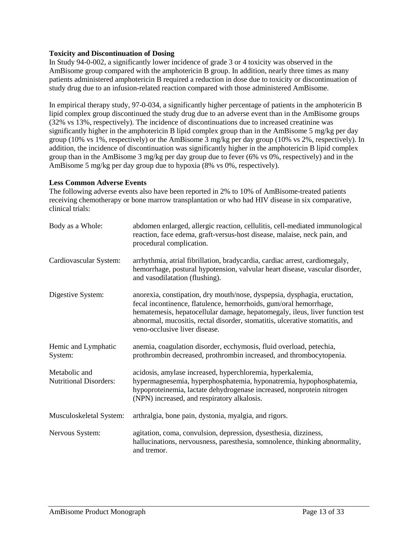# **Toxicity and Discontinuation of Dosing**

In Study 94-0-002, a significantly lower incidence of grade 3 or 4 toxicity was observed in the AmBisome group compared with the amphotericin B group. In addition, nearly three times as many patients administered amphotericin B required a reduction in dose due to toxicity or discontinuation of study drug due to an infusion-related reaction compared with those administered AmBisome.

In empirical therapy study, 97-0-034, a significantly higher percentage of patients in the amphotericin B lipid complex group discontinued the study drug due to an adverse event than in the AmBisome groups (32% vs 13%, respectively). The incidence of discontinuations due to increased creatinine was significantly higher in the amphotericin B lipid complex group than in the AmBisome 5 mg/kg per day group (10% vs 1%, respectively) or the AmBisome 3 mg/kg per day group (10% vs 2%, respectively). In addition, the incidence of discontinuation was significantly higher in the amphotericin B lipid complex group than in the AmBisome 3 mg/kg per day group due to fever (6% vs 0%, respectively) and in the AmBisome 5 mg/kg per day group due to hypoxia (8% vs 0%, respectively).

### **Less Common Adverse Events**

The following adverse events also have been reported in 2% to 10% of AmBisome-treated patients receiving chemotherapy or bone marrow transplantation or who had HIV disease in six comparative, clinical trials:

| Body as a Whole:                               | abdomen enlarged, allergic reaction, cellulitis, cell-mediated immunological<br>reaction, face edema, graft-versus-host disease, malaise, neck pain, and<br>procedural complication.                                                                                                                                                            |
|------------------------------------------------|-------------------------------------------------------------------------------------------------------------------------------------------------------------------------------------------------------------------------------------------------------------------------------------------------------------------------------------------------|
| Cardiovascular System:                         | arrhythmia, atrial fibrillation, bradycardia, cardiac arrest, cardiomegaly,<br>hemorrhage, postural hypotension, valvular heart disease, vascular disorder,<br>and vasodilatation (flushing).                                                                                                                                                   |
| Digestive System:                              | anorexia, constipation, dry mouth/nose, dyspepsia, dysphagia, eructation,<br>fecal incontinence, flatulence, hemorrhoids, gum/oral hemorrhage,<br>hematemesis, hepatocellular damage, hepatomegaly, ileus, liver function test<br>abnormal, mucositis, rectal disorder, stomatitis, ulcerative stomatitis, and<br>veno-occlusive liver disease. |
| Hemic and Lymphatic<br>System:                 | anemia, coagulation disorder, ecchymosis, fluid overload, petechia,<br>prothrombin decreased, prothrombin increased, and thrombocytopenia.                                                                                                                                                                                                      |
| Metabolic and<br><b>Nutritional Disorders:</b> | acidosis, amylase increased, hyperchloremia, hyperkalemia,<br>hypermagnesemia, hyperphosphatemia, hyponatremia, hypophosphatemia,<br>hypoproteinemia, lactate dehydrogenase increased, nonprotein nitrogen<br>(NPN) increased, and respiratory alkalosis.                                                                                       |
| Musculoskeletal System:                        | arthralgia, bone pain, dystonia, myalgia, and rigors.                                                                                                                                                                                                                                                                                           |
| Nervous System:                                | agitation, coma, convulsion, depression, dysesthesia, dizziness,<br>hallucinations, nervousness, paresthesia, somnolence, thinking abnormality,<br>and tremor.                                                                                                                                                                                  |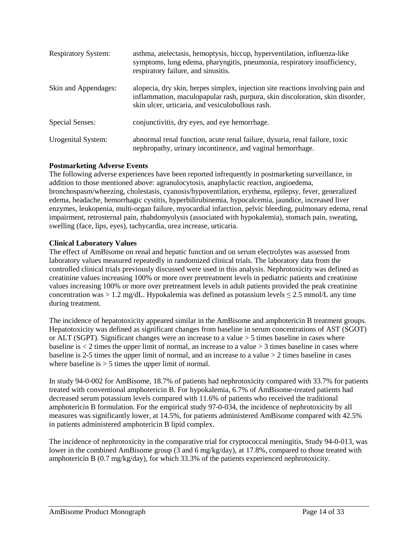| <b>Respiratory System:</b> | asthma, atelectasis, hemoptysis, hiccup, hyperventilation, influenza-like<br>symptoms, lung edema, pharyngitis, pneumonia, respiratory insufficiency,<br>respiratory failure, and sinusitis.                         |
|----------------------------|----------------------------------------------------------------------------------------------------------------------------------------------------------------------------------------------------------------------|
| Skin and Appendages:       | alopecia, dry skin, herpes simplex, injection site reactions involving pain and<br>inflammation, maculopapular rash, purpura, skin discoloration, skin disorder,<br>skin ulcer, urticaria, and vesiculobullous rash. |
| Special Senses:            | conjunctivitis, dry eyes, and eye hemorrhage.                                                                                                                                                                        |
| Urogenital System:         | abnormal renal function, acute renal failure, dysuria, renal failure, toxic<br>nephropathy, urinary incontinence, and vaginal hemorrhage.                                                                            |

# **Postmarketing Adverse Events**

The following adverse experiences have been reported infrequently in postmarketing surveillance, in addition to those mentioned above: agranulocytosis, anaphylactic reaction, angioedema, bronchospasm/wheezing, cholestasis, cyanosis/hypoventilation, erythema, epilepsy, fever, generalized edema, headache, hemorrhagic cystitis, hyperbilirubinemia, hypocalcemia, jaundice, increased liver enzymes, leukopenia, multi-organ failure, myocardial infarction, pelvic bleeding, pulmonary edema, renal impairment, retrosternal pain, rhabdomyolysis (associated with hypokalemia), stomach pain, sweating, swelling (face, lips, eyes), tachycardia, urea increase, urticaria.

# **Clinical Laboratory Values**

The effect of AmBisome on renal and hepatic function and on serum electrolytes was assessed from laboratory values measured repeatedly in randomized clinical trials. The laboratory data from the controlled clinical trials previously discussed were used in this analysis. Nephrotoxicity was defined as creatinine values increasing 100% or more over pretreatment levels in pediatric patients and creatinine values increasing 100% or more over pretreatment levels in adult patients provided the peak creatinine concentration was > 1.2 mg/dL. Hypokalemia was defined as potassium levels  $\leq$  2.5 mmol/L any time during treatment.

The incidence of hepatotoxicity appeared similar in the AmBisome and amphotericin B treatment groups. Hepatotoxicity was defined as significant changes from baseline in serum concentrations of AST (SGOT) or ALT (SGPT). Significant changes were an increase to a value > 5 times baseline in cases where baseline is  $< 2$  times the upper limit of normal, an increase to a value  $> 3$  times baseline in cases where baseline is 2-5 times the upper limit of normal, and an increase to a value > 2 times baseline in cases where baseline is  $> 5$  times the upper limit of normal.

In study 94-0-002 for AmBisome, 18.7% of patients had nephrotoxicity compared with 33.7% for patients treated with conventional amphotericin B. For hypokalemia, 6.7% of AmBisome-treated patients had decreased serum potassium levels compared with 11.6% of patients who received the traditional amphotericin B formulation. For the empirical study 97-0-034, the incidence of nephrotoxicity by all measures was significantly lower, at 14.5%, for patients administered AmBisome compared with 42.5% in patients administered amphotericin B lipid complex.

The incidence of nephrotoxicity in the comparative trial for cryptococcal meningitis, Study 94-0-013, was lower in the combined AmBisome group (3 and 6 mg/kg/day), at 17.8%, compared to those treated with amphotericin B (0.7 mg/kg/day), for which 33.3% of the patients experienced nephrotoxicity.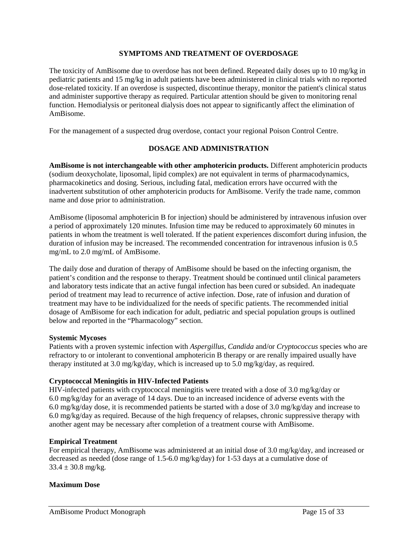### **SYMPTOMS AND TREATMENT OF OVERDOSAGE**

The toxicity of AmBisome due to overdose has not been defined. Repeated daily doses up to 10 mg/kg in pediatric patients and 15 mg/kg in adult patients have been administered in clinical trials with no reported dose-related toxicity. If an overdose is suspected, discontinue therapy, monitor the patient's clinical status and administer supportive therapy as required. Particular attention should be given to monitoring renal function. Hemodialysis or peritoneal dialysis does not appear to significantly affect the elimination of AmBisome.

For the management of a suspected drug overdose, contact your regional Poison Control Centre.

# **DOSAGE AND ADMINISTRATION**

**AmBisome is not interchangeable with other amphotericin products.** Different amphotericin products (sodium deoxycholate, liposomal, lipid complex) are not equivalent in terms of pharmacodynamics, pharmacokinetics and dosing. Serious, including fatal, medication errors have occurred with the inadvertent substitution of other amphotericin products for AmBisome. Verify the trade name, common name and dose prior to administration.

AmBisome (liposomal amphotericin B for injection) should be administered by intravenous infusion over a period of approximately 120 minutes. Infusion time may be reduced to approximately 60 minutes in patients in whom the treatment is well tolerated. If the patient experiences discomfort during infusion, the duration of infusion may be increased. The recommended concentration for intravenous infusion is 0.5 mg/mL to 2.0 mg/mL of AmBisome.

The daily dose and duration of therapy of AmBisome should be based on the infecting organism, the patient's condition and the response to therapy. Treatment should be continued until clinical parameters and laboratory tests indicate that an active fungal infection has been cured or subsided. An inadequate period of treatment may lead to recurrence of active infection. Dose, rate of infusion and duration of treatment may have to be individualized for the needs of specific patients. The recommended initial dosage of AmBisome for each indication for adult, pediatric and special population groups is outlined below and reported in the "Pharmacology" section.

### **Systemic Mycoses**

Patients with a proven systemic infection with *Aspergillus, Candida* and/or *Cryptococcus* species who are refractory to or intolerant to conventional amphotericin B therapy or are renally impaired usually have therapy instituted at 3.0 mg/kg/day, which is increased up to 5.0 mg/kg/day, as required.

### **Cryptococcal Meningitis in HIV-Infected Patients**

HIV-infected patients with cryptococcal meningitis were treated with a dose of 3.0 mg/kg/day or 6.0 mg/kg/day for an average of 14 days. Due to an increased incidence of adverse events with the 6.0 mg/kg/day dose, it is recommended patients be started with a dose of 3.0 mg/kg/day and increase to 6.0 mg/kg/day as required. Because of the high frequency of relapses, chronic suppressive therapy with another agent may be necessary after completion of a treatment course with AmBisome.

### **Empirical Treatment**

For empirical therapy, AmBisome was administered at an initial dose of 3.0 mg/kg/day, and increased or decreased as needed (dose range of 1.5-6.0 mg/kg/day) for 1-53 days at a cumulative dose of  $33.4 \pm 30.8$  mg/kg.

# **Maximum Dose**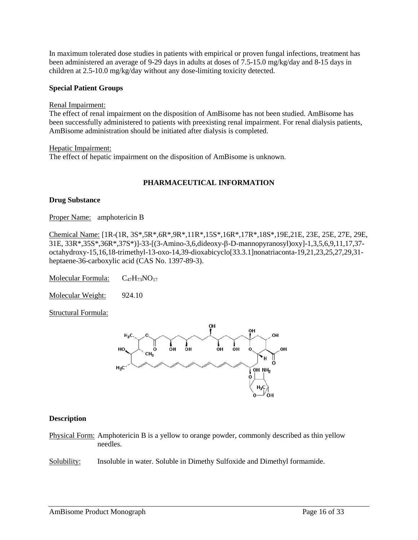In maximum tolerated dose studies in patients with empirical or proven fungal infections, treatment has been administered an average of 9-29 days in adults at doses of 7.5-15.0 mg/kg/day and 8-15 days in children at 2.5-10.0 mg/kg/day without any dose-limiting toxicity detected.

### **Special Patient Groups**

Renal Impairment:

The effect of renal impairment on the disposition of AmBisome has not been studied. AmBisome has been successfully administered to patients with preexisting renal impairment. For renal dialysis patients, AmBisome administration should be initiated after dialysis is completed.

Hepatic Impairment: The effect of hepatic impairment on the disposition of AmBisome is unknown.

# **PHARMACEUTICAL INFORMATION**

### **Drug Substance**

Proper Name: amphotericin B

Chemical Name: [1R-(1R, 3S\*,5R\*,6R\*,9R\*,11R\*,15S\*,16R\*,17R\*,18S\*,19E,21E, 23E, 25E, 27E, 29E, 31E, 33R\*,35S\*,36R\*,37S\*)]-33-[(3-Amino-3,6,dideoxy-β-D-mannopyranosyl)oxy]-1,3,5,6,9,11,17,37 octahydroxy-15,16,18-trimethyl-13-oxo-14,39-dioxabicyclo[33.3.1]nonatriaconta-19,21,23,25,27,29,31 heptaene-36-carboxylic acid (CAS No. 1397-89-3).

Molecular Formula:  $C_{47}H_{73}NO_{17}$ 

Molecular Weight: 924.10

Structural Formula:



### **Description**

Physical Form: Amphotericin B is a yellow to orange powder, commonly described as thin yellow needles.

Solubility: Insoluble in water. Soluble in Dimethy Sulfoxide and Dimethyl formamide.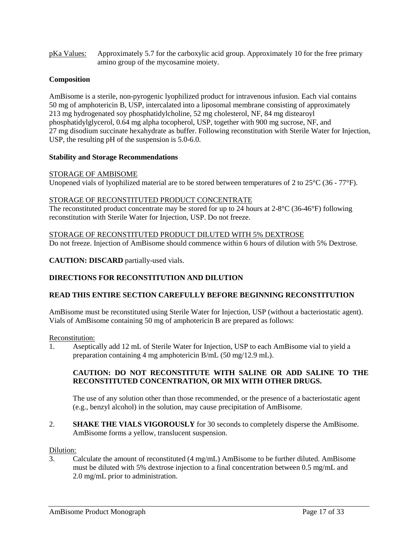pKa Values: Approximately 5.7 for the carboxylic acid group. Approximately 10 for the free primary amino group of the mycosamine moiety.

# **Composition**

AmBisome is a sterile, non-pyrogenic lyophilized product for intravenous infusion. Each vial contains 50 mg of amphotericin B, USP, intercalated into a liposomal membrane consisting of approximately 213 mg hydrogenated soy phosphatidylcholine, 52 mg cholesterol, NF, 84 mg distearoyl phosphatidylglycerol, 0.64 mg alpha tocopherol, USP, together with 900 mg sucrose, NF, and 27 mg disodium succinate hexahydrate as buffer. Following reconstitution with Sterile Water for Injection, USP, the resulting pH of the suspension is 5.0-6.0.

# **Stability and Storage Recommendations**

# STORAGE OF AMBISOME

Unopened vials of lyophilized material are to be stored between temperatures of 2 to 25°C (36 - 77°F).

# STORAGE OF RECONSTITUTED PRODUCT CONCENTRATE

The reconstituted product concentrate may be stored for up to 24 hours at 2-8°C (36-46°F) following reconstitution with Sterile Water for Injection, USP. Do not freeze.

# STORAGE OF RECONSTITUTED PRODUCT DILUTED WITH 5% DEXTROSE

Do not freeze. Injection of AmBisome should commence within 6 hours of dilution with 5% Dextrose.

**CAUTION: DISCARD** partially-used vials.

# **DIRECTIONS FOR RECONSTITUTION AND DILUTION**

# **READ THIS ENTIRE SECTION CAREFULLY BEFORE BEGINNING RECONSTITUTION**

AmBisome must be reconstituted using Sterile Water for Injection, USP (without a bacteriostatic agent). Vials of AmBisome containing 50 mg of amphotericin B are prepared as follows:

### Reconstitution:

1. Aseptically add 12 mL of Sterile Water for Injection, USP to each AmBisome vial to yield a preparation containing 4 mg amphotericin B/mL (50 mg/12.9 mL).

# **CAUTION: DO NOT RECONSTITUTE WITH SALINE OR ADD SALINE TO THE RECONSTITUTED CONCENTRATION, OR MIX WITH OTHER DRUGS.**

The use of any solution other than those recommended, or the presence of a bacteriostatic agent (e.g., benzyl alcohol) in the solution, may cause precipitation of AmBisome.

2. **SHAKE THE VIALS VIGOROUSLY** for 30 seconds to completely disperse the AmBisome. AmBisome forms a yellow, translucent suspension.

### Dilution:

3. Calculate the amount of reconstituted (4 mg/mL) AmBisome to be further diluted. AmBisome must be diluted with 5% dextrose injection to a final concentration between 0.5 mg/mL and 2.0 mg/mL prior to administration.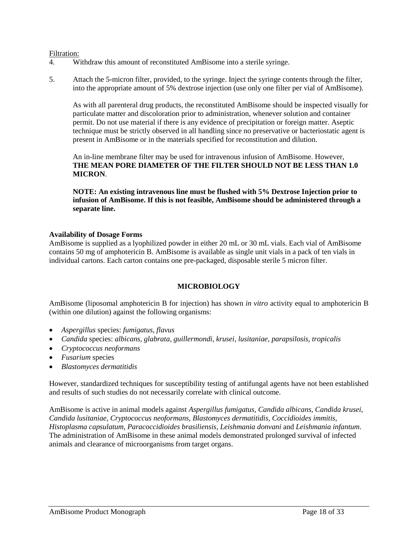## Filtration:

- 4. Withdraw this amount of reconstituted AmBisome into a sterile syringe.
- 5. Attach the 5-micron filter, provided, to the syringe. Inject the syringe contents through the filter, into the appropriate amount of 5% dextrose injection (use only one filter per vial of AmBisome).

As with all parenteral drug products, the reconstituted AmBisome should be inspected visually for particulate matter and discoloration prior to administration, whenever solution and container permit. Do not use material if there is any evidence of precipitation or foreign matter. Aseptic technique must be strictly observed in all handling since no preservative or bacteriostatic agent is present in AmBisome or in the materials specified for reconstitution and dilution.

An in-line membrane filter may be used for intravenous infusion of AmBisome. However, **THE MEAN PORE DIAMETER OF THE FILTER SHOULD NOT BE LESS THAN 1.0 MICRON**.

**NOTE: An existing intravenous line must be flushed with 5% Dextrose Injection prior to infusion of AmBisome. If this is not feasible, AmBisome should be administered through a separate line.**

### **Availability of Dosage Forms**

AmBisome is supplied as a lyophilized powder in either 20 mL or 30 mL vials. Each vial of AmBisome contains 50 mg of amphotericin B. AmBisome is available as single unit vials in a pack of ten vials in individual cartons. Each carton contains one pre-packaged, disposable sterile 5 micron filter.

### **MICROBIOLOGY**

AmBisome (liposomal amphotericin B for injection) has shown *in vitro* activity equal to amphotericin B (within one dilution) against the following organisms:

- *Aspergillus* species: *fumigatus, flavus*
- *Candida* species: *albicans, glabrata, guillermondi, krusei, lusitaniae, parapsilosis, tropicalis*
- *Cryptococcus neoformans*
- *Fusarium* species
- *Blastomyces dermatitidis*

However, standardized techniques for susceptibility testing of antifungal agents have not been established and results of such studies do not necessarily correlate with clinical outcome.

AmBisome is active in animal models against *Aspergillus fumigatus, Candida albicans, Candida krusei, Candida lusitaniae, Cryptococcus neoformans, Blastomyces dermatitidis, Coccidioides immitis, Histoplasma capsulatum, Paracoccidioides brasiliensis, Leishmania donvani* and *Leishmania infantum*. The administration of AmBisome in these animal models demonstrated prolonged survival of infected animals and clearance of microorganisms from target organs.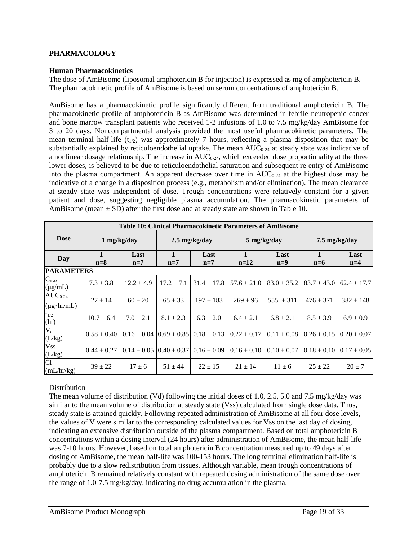# **PHARMACOLOGY**

### **Human Pharmacokinetics**

The dose of AmBisome (liposomal amphotericin B for injection) is expressed as mg of amphotericin B. The pharmacokinetic profile of AmBisome is based on serum concentrations of amphotericin B.

AmBisome has a pharmacokinetic profile significantly different from traditional amphotericin B. The pharmacokinetic profile of amphotericin B as AmBisome was determined in febrile neutropenic cancer and bone marrow transplant patients who received 1-2 infusions of 1.0 to 7.5 mg/kg/day AmBisome for 3 to 20 days. Noncompartmental analysis provided the most useful pharmacokinetic parameters. The mean terminal half-life  $(t_{1/2})$  was approximately 7 hours, reflecting a plasma disposition that may be substantially explained by reticuloendothelial uptake. The mean  $AUC_{0.24}$  at steady state was indicative of a nonlinear dosage relationship. The increase in  $AUC_{0-24}$ , which exceeded dose proportionality at the three lower doses, is believed to be due to reticuloendothelial saturation and subsequent re-entry of AmBisome into the plasma compartment. An apparent decrease over time in  $AUC_{0.24}$  at the highest dose may be indicative of a change in a disposition process (e.g., metabolism and/or elimination). The mean clearance at steady state was independent of dose. Trough concentrations were relatively constant for a given patient and dose, suggesting negligible plasma accumulation. The pharmacokinetic parameters of AmBisome (mean  $\pm$  SD) after the first dose and at steady state are shown in Table 10.

| Table 10: Clinical Pharmacokinetic Parameters of AmBisome |                 |                                                  |                |                 |                 |                         |                 |                 |
|-----------------------------------------------------------|-----------------|--------------------------------------------------|----------------|-----------------|-----------------|-------------------------|-----------------|-----------------|
| <b>Dose</b>                                               |                 | $1 \text{ mg/kg/day}$<br>$2.5 \text{ mg/kg/day}$ |                | 5 mg/kg/day     |                 | $7.5 \text{ mg/kg/day}$ |                 |                 |
| <b>Day</b>                                                | 1<br>$n=8$      | Last<br>$n=7$                                    | 1<br>$n=7$     | Last<br>$n=7$   | 1<br>$n=12$     | Last<br>$n=9$           | 1<br>$n=6$      | Last<br>$n=4$   |
| <b>PARAMETERS</b>                                         |                 |                                                  |                |                 |                 |                         |                 |                 |
| $C_{max}$<br>$(\mu g/mL)$                                 | $7.3 \pm 3.8$   | $12.2 \pm 4.9$                                   | $17.2 \pm 7.1$ | $31.4 \pm 17.8$ | $57.6 \pm 21.0$ | $83.0 \pm 35.2$         | $83.7 \pm 43.0$ | $62.4 \pm 17.7$ |
| $AUC_{0-24}$<br>$(\mu g \cdot hr/mL)$                     | $27 \pm 14$     | $60 \pm 20$                                      | $65 \pm 33$    | $197 \pm 183$   | $269 \pm 96$    | $555 \pm 311$           | $476 \pm 371$   | $382 \pm 148$   |
| $t_{1/2}$<br>(hr)                                         | $10.7 \pm 6.4$  | $7.0 \pm 2.1$                                    | $8.1 \pm 2.3$  | $6.3 \pm 2.0$   | $6.4 \pm 2.1$   | $6.8 \pm 2.1$           | $8.5 \pm 3.9$   | $6.9 \pm 0.9$   |
| $V_d$<br>(L/kg)                                           | $0.58 \pm 0.40$ | $0.16 \pm 0.04$ $ 0.69 \pm 0.85 $                |                | $0.18 \pm 0.13$ | $0.22 \pm 0.17$ | $0.11 \pm 0.08$         | $0.26 \pm 0.15$ | $0.20 \pm 0.07$ |
| <b>Vss</b><br>$(L/kg)$<br>Cl                              | $0.44 \pm 0.27$ | $0.14 \pm 0.05$ $0.40 \pm 0.37$                  |                | $0.16 \pm 0.09$ | $0.16 \pm 0.10$ | $0.10 \pm 0.07$         | $0.18 \pm 0.10$ | $0.17 \pm 0.05$ |
| (mL/hr/kg)                                                | $39 \pm 22$     | $17 \pm 6$                                       | $51 + 44$      | $22 + 15$       | $21 \pm 14$     | $11 \pm 6$              | $25 \pm 22$     | $20 \pm 7$      |

# Distribution

The mean volume of distribution (Vd) following the initial doses of 1.0, 2.5, 5.0 and 7.5 mg/kg/day was similar to the mean volume of distribution at steady state (Vss) calculated from single dose data. Thus, steady state is attained quickly. Following repeated administration of AmBisome at all four dose levels, the values of V were similar to the corresponding calculated values for Vss on the last day of dosing, indicating an extensive distribution outside of the plasma compartment. Based on total amphotericin B concentrations within a dosing interval (24 hours) after administration of AmBisome, the mean half-life was 7-10 hours. However, based on total amphotericin B concentration measured up to 49 days after dosing of AmBisome, the mean half-life was 100-153 hours. The long terminal elimination half-life is probably due to a slow redistribution from tissues. Although variable, mean trough concentrations of amphotericin B remained relatively constant with repeated dosing administration of the same dose over the range of 1.0-7.5 mg/kg/day, indicating no drug accumulation in the plasma.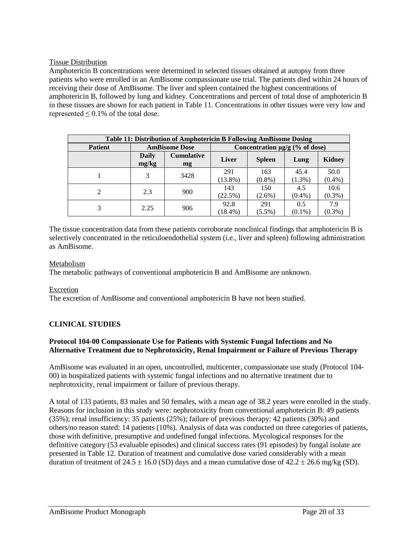# Tissue Distribution

Amphotericin B concentrations were determined in selected tissues obtained at autopsy from three patients who were enrolled in an AmBisome compassionate use trial. The patients died within 24 hours of receiving their dose of AmBisome. The liver and spleen contained the highest concentrations of amphotericin B, followed by lung and kidney. Concentrations and percent of total dose of amphotericin B in these tissues are shown for each patient in Table 11. Concentrations in other tissues were very low and represented  $\leq 0.1\%$  of the total dose.

| Table 11: Distribution of Amphotericin B Following AmBisome Dosing |                      |                         |                                     |                  |                  |                   |
|--------------------------------------------------------------------|----------------------|-------------------------|-------------------------------------|------------------|------------------|-------------------|
| <b>Patient</b>                                                     | <b>AmBisome Dose</b> |                         | Concentration $\mu$ g/g (% of dose) |                  |                  |                   |
|                                                                    | Daily<br>mg/kg       | <b>Cumulative</b><br>mg | <b>Liver</b>                        | <b>Spleen</b>    | Lung             | <b>Kidney</b>     |
|                                                                    |                      | 3428                    | 291<br>$(13.8\%)$                   | 163<br>$(0.8\%)$ | 45.4<br>(1.3%)   | 50.0<br>$(0.4\%)$ |
| $\overline{c}$                                                     | 2.3                  | 900                     | 143<br>(22.5%)                      | 150<br>$(2.6\%)$ | 4.5<br>$(0.4\%)$ | 10.6<br>$(0.3\%)$ |
| 3                                                                  | 2.25                 | 906                     | 92.8<br>$(18.4\%)$                  | 291<br>$(5.5\%)$ | 0.5<br>$(0.1\%)$ | 7.9<br>$(0.3\%)$  |

The tissue concentration data from these patients corroborate nonclinical findings that amphotericin B is selectively concentrated in the reticuloendothelial system (i.e., liver and spleen) following administration as AmBisome.

# Metabolism

The metabolic pathways of conventional amphotericin B and AmBisome are unknown.

### Excretion

The excretion of AmBisome and conventional amphotericin B have not been studied.

# **CLINICAL STUDIES**

# **Protocol 104-00 Compassionate Use for Patients with Systemic Fungal Infections and No Alternative Treatment due to Nephrotoxicity, Renal Impairment or Failure of Previous Therapy**

AmBisome was evaluated in an open, uncontrolled, multicenter, compassionate use study (Protocol 104- 00) in hospitalized patients with systemic fungal infections and no alternative treatment due to nephrotoxicity, renal impairment or failure of previous therapy.

A total of 133 patients, 83 males and 50 females, with a mean age of 38.2 years were enrolled in the study. Reasons for inclusion in this study were: nephrotoxicity from conventional amphotericin B: 49 patients (35%); renal insufficiency: 35 patients (25%); failure of previous therapy: 42 patients (30%) and others/no reason stated: 14 patients (10%). Analysis of data was conducted on three categories of patients, those with definitive, presumptive and undefined fungal infections. Mycological responses for the definitive category (53 evaluable episodes) and clinical success rates (91 episodes) by fungal isolate are presented in Table 12. Duration of treatment and cumulative dose varied considerably with a mean duration of treatment of 24.5  $\pm$  16.0 (SD) days and a mean cumulative dose of 42.2  $\pm$  26.6 mg/kg (SD).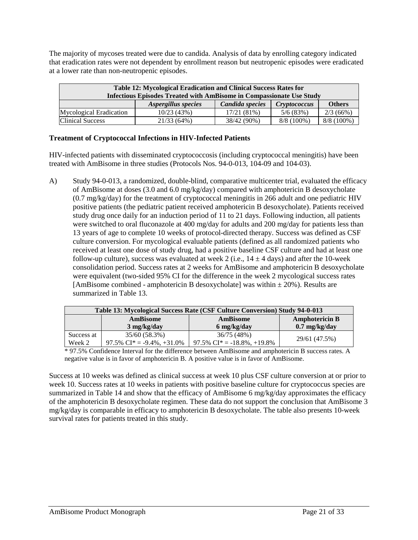The majority of mycoses treated were due to candida. Analysis of data by enrolling category indicated that eradication rates were not dependent by enrollment reason but neutropenic episodes were eradicated at a lower rate than non-neutropenic episodes.

| Table 12: Mycological Eradication and Clinical Success Rates for        |            |             |              |              |  |  |  |
|-------------------------------------------------------------------------|------------|-------------|--------------|--------------|--|--|--|
| Infectious Episodes Treated with AmBisome in Compassionate Use Study    |            |             |              |              |  |  |  |
| Candida species<br><b>Others</b><br>Aspergillus species<br>Cryptococcus |            |             |              |              |  |  |  |
| Mycological Eradication                                                 | 10/23(43%) | 17/21(81%)  | 5/6(83%)     | 2/3(66%)     |  |  |  |
| <b>Clinical Success</b>                                                 | 21/33(64%) | 38/42 (90%) | $8/8(100\%)$ | $8/8(100\%)$ |  |  |  |

# **Treatment of Cryptococcal Infections in HIV-Infected Patients**

HIV-infected patients with disseminated cryptococcosis (including cryptococcal meningitis) have been treated with AmBisome in three studies (Protocols Nos. 94-0-013, 104-09 and 104-03).

A) Study 94-0-013, a randomized, double-blind, comparative multicenter trial, evaluated the efficacy of AmBisome at doses (3.0 and 6.0 mg/kg/day) compared with amphotericin B desoxycholate (0.7 mg/kg/day) for the treatment of cryptococcal meningitis in 266 adult and one pediatric HIV positive patients (the pediatric patient received amphotericin B desoxycholate). Patients received study drug once daily for an induction period of 11 to 21 days. Following induction, all patients were switched to oral fluconazole at 400 mg/day for adults and 200 mg/day for patients less than 13 years of age to complete 10 weeks of protocol-directed therapy. Success was defined as CSF culture conversion. For mycological evaluable patients (defined as all randomized patients who received at least one dose of study drug, had a positive baseline CSF culture and had at least one follow-up culture), success was evaluated at week 2 (i.e.,  $14 \pm 4$  days) and after the 10-week consolidation period. Success rates at 2 weeks for AmBisome and amphotericin B desoxycholate were equivalent (two-sided 95% CI for the difference in the week 2 mycological success rates [AmBisome combined - amphotericin B desoxycholate] was within  $\pm$  20%). Results are summarized in Table 13.

| Table 13: Mycological Success Rate (CSF Culture Conversion) Study 94-0-013 |                                               |                                 |                         |  |  |
|----------------------------------------------------------------------------|-----------------------------------------------|---------------------------------|-------------------------|--|--|
|                                                                            | <b>Amphotericin B</b><br>AmBisome<br>AmBisome |                                 |                         |  |  |
|                                                                            | $3 \text{ mg/kg/day}$                         | 6 mg/kg/day                     | $0.7 \text{ mg/kg/day}$ |  |  |
| Success at                                                                 | 35/60 (58.3%)                                 | 36/75 (48%)                     |                         |  |  |
| Week 2                                                                     | 97.5% $CI^* = -9.4\%$ , $+31.0\%$             | 97.5% $CI^* = -18.8\%$ , +19.8% | 29/61 (47.5%)           |  |  |

\* 97.5% Confidence Interval for the difference between AmBisome and amphotericin B success rates. A negative value is in favor of amphotericin B. A positive value is in favor of AmBisome.

Success at 10 weeks was defined as clinical success at week 10 plus CSF culture conversion at or prior to week 10. Success rates at 10 weeks in patients with positive baseline culture for cryptococcus species are summarized in Table 14 and show that the efficacy of AmBisome 6 mg/kg/day approximates the efficacy of the amphotericin B desoxycholate regimen. These data do not support the conclusion that AmBisome 3 mg/kg/day is comparable in efficacy to amphotericin B desoxycholate. The table also presents 10-week survival rates for patients treated in this study.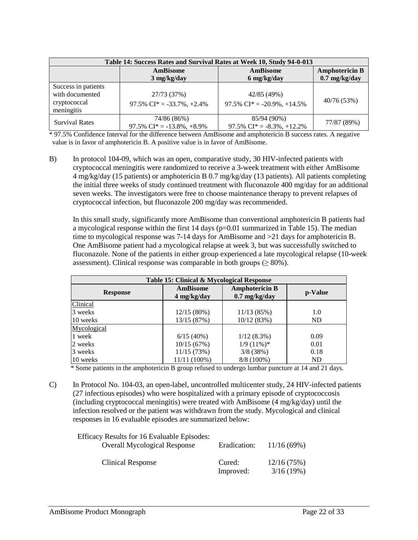| Table 14: Success Rates and Survival Rates at Week 10, Study 94-0-013 |                                                                   |                                                                  |                                        |  |  |  |
|-----------------------------------------------------------------------|-------------------------------------------------------------------|------------------------------------------------------------------|----------------------------------------|--|--|--|
|                                                                       | <b>AmBisome</b>                                                   | <b>AmBisome</b>                                                  | <b>Amphotericin B</b>                  |  |  |  |
| Success in patients<br>with documented<br>cryptococcal<br>meningitis  | $3$ mg/kg/day<br>27/73 (37%)<br>97.5% $CI^* = -33.7\%$ , $+2.4\%$ | 6 mg/kg/day<br>42/85 (49%)<br>97.5% $CI^* = -20.9\%$ , $+14.5\%$ | $0.7 \text{ mg/kg/day}$<br>40/76 (53%) |  |  |  |
| <b>Survival Rates</b>                                                 | 74/86 (86%)<br>97.5% $CI^* = -13.8\%$ , $+8.9\%$                  | 85/94 (90%)<br>97.5% $CI^* = -8.3\%$ , +12.2%                    | 77/87 (89%)                            |  |  |  |

\* 97.5% Confidence Interval for the difference between AmBisome and amphotericin B success rates. A negative value is in favor of amphotericin B. A positive value is in favor of AmBisome.

B) In protocol 104-09, which was an open, comparative study, 30 HIV-infected patients with cryptococcal meningitis were randomized to receive a 3-week treatment with either AmBisome 4 mg/kg/day (15 patients) or amphotericin B 0.7 mg/kg/day (13 patients). All patients completing the initial three weeks of study continued treatment with fluconazole 400 mg/day for an additional seven weeks. The investigators were free to choose maintenance therapy to prevent relapses of cryptococcal infection, but fluconazole 200 mg/day was recommended.

In this small study, significantly more AmBisome than conventional amphotericin B patients had a mycological response within the first  $14 \text{ days}$  (p=0.01 summarized in Table 15). The median time to mycological response was 7-14 days for AmBisome and >21 days for amphotericin B. One AmBisome patient had a mycological relapse at week 3, but was successfully switched to fluconazole. None of the patients in either group experienced a late mycological relapse (10-week assessment). Clinical response was comparable in both groups ( $\geq 80\%$ ).

| Table 15: Clinical & Mycological Response |                                  |                                                  |           |  |  |
|-------------------------------------------|----------------------------------|--------------------------------------------------|-----------|--|--|
| <b>Response</b>                           | <b>AmBisome</b><br>$4$ mg/kg/day | <b>Amphotericin B</b><br>$0.7 \text{ mg/kg/day}$ | p-Value   |  |  |
| Clinical                                  |                                  |                                                  |           |  |  |
| 3 weeks                                   | 12/15(80%)                       | 11/13(85%)                                       | 1.0       |  |  |
| 10 weeks                                  | 13/15 (87%)                      | 10/12(83%)                                       | <b>ND</b> |  |  |
| Mycological                               |                                  |                                                  |           |  |  |
| 1 week                                    | 6/15(40%)                        | $1/12(8.3\%)$                                    | 0.09      |  |  |
| 2 weeks                                   | 10/15(67%)                       | $1/9$ (11%)*                                     | 0.01      |  |  |
| 3 weeks                                   | 11/15(73%)                       | 3/8(38%)                                         | 0.18      |  |  |
| 10 weeks                                  | 11/11 (100%)                     | 8/8 (100%)                                       | <b>ND</b> |  |  |

\* Some patients in the amphotericin B group refused to undergo lumbar puncture at 14 and 21 days.

C) In Protocol No. 104-03, an open-label, uncontrolled multicenter study, 24 HIV-infected patients (27 infectious episodes) who were hospitalized with a primary episode of cryptococcosis (including cryptococcal meningitis) were treated with AmBisome (4 mg/kg/day) until the infection resolved or the patient was withdrawn from the study. Mycological and clinical responses in 16 evaluable episodes are summarized below:

| <b>Efficacy Results for 16 Evaluable Episodes:</b><br><b>Overall Mycological Response</b> | Eradication:        | 11/16(69%)              |
|-------------------------------------------------------------------------------------------|---------------------|-------------------------|
| Clinical Response                                                                         | Cured:<br>Improved: | 12/16(75%)<br>3/16(19%) |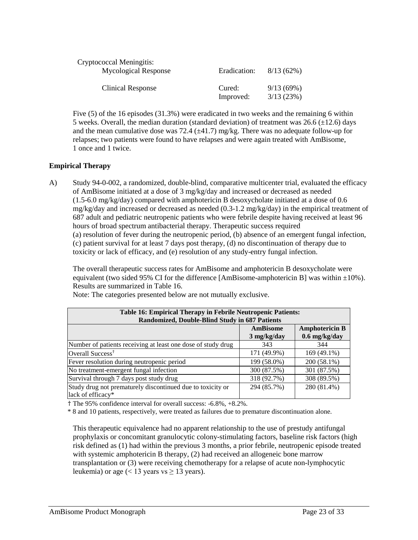| Cryptococcal Meningitis:<br><b>Mycological Response</b> | Eradication:        | 8/13(62%)              |
|---------------------------------------------------------|---------------------|------------------------|
| Clinical Response                                       | Cured:<br>Improved: | 9/13(69%)<br>3/13(23%) |

Five (5) of the 16 episodes (31.3%) were eradicated in two weeks and the remaining 6 within 5 weeks. Overall, the median duration (standard deviation) of treatment was  $26.6 \ (\pm 12.6)$  days and the mean cumulative dose was 72.4 ( $\pm$ 41.7) mg/kg. There was no adequate follow-up for relapses; two patients were found to have relapses and were again treated with AmBisome, 1 once and 1 twice.

# **Empirical Therapy**

A) Study 94-0-002, a randomized, double-blind, comparative multicenter trial, evaluated the efficacy of AmBisome initiated at a dose of 3 mg/kg/day and increased or decreased as needed (1.5-6.0 mg/kg/day) compared with amphotericin B desoxycholate initiated at a dose of 0.6  $mg/kg/day$  and increased or decreased as needed (0.3-1.2 mg/kg/day) in the empirical treatment of 687 adult and pediatric neutropenic patients who were febrile despite having received at least 96 hours of broad spectrum antibacterial therapy. Therapeutic success required (a) resolution of fever during the neutropenic period, (b) absence of an emergent fungal infection, (c) patient survival for at least 7 days post therapy, (d) no discontinuation of therapy due to toxicity or lack of efficacy, and (e) resolution of any study-entry fungal infection.

The overall therapeutic success rates for AmBisome and amphotericin B desoxycholate were equivalent (two sided 95% CI for the difference [AmBisome-amphotericin B] was within  $\pm 10$ %). Results are summarized in Table 16.

| Table 16: Empirical Therapy in Febrile Neutropenic Patients:                    |                       |                 |  |  |  |  |
|---------------------------------------------------------------------------------|-----------------------|-----------------|--|--|--|--|
| Randomized, Double-Blind Study in 687 Patients                                  |                       |                 |  |  |  |  |
| <b>Amphotericin B</b><br><b>AmBisome</b>                                        |                       |                 |  |  |  |  |
|                                                                                 | $3 \text{ mg/kg/day}$ | $0.6$ mg/kg/day |  |  |  |  |
| Number of patients receiving at least one dose of study drug                    | 343                   | 344             |  |  |  |  |
| Overall Success <sup>†</sup>                                                    | 171 (49.9%)           | 169 (49.1%)     |  |  |  |  |
| Fever resolution during neutropenic period                                      | 199 (58.0%)           | 200 (58.1%)     |  |  |  |  |
| No treatment-emergent fungal infection                                          | 300 (87.5%)           | 301 (87.5%)     |  |  |  |  |
| Survival through 7 days post study drug                                         | 318 (92.7%)           | 308 (89.5%)     |  |  |  |  |
| Study drug not prematurely discontinued due to toxicity or<br>lack of efficacy* | 294 (85.7%)           | 280 (81.4%)     |  |  |  |  |

Note: The categories presented below are not mutually exclusive.

† The 95% confidence interval for overall success: -6.8%, +8.2%.

\* 8 and 10 patients, respectively, were treated as failures due to premature discontinuation alone.

This therapeutic equivalence had no apparent relationship to the use of prestudy antifungal prophylaxis or concomitant granulocytic colony-stimulating factors, baseline risk factors (high risk defined as (1) had within the previous 3 months, a prior febrile, neutropenic episode treated with systemic amphotericin B therapy, (2) had received an allogeneic bone marrow transplantation or (3) were receiving chemotherapy for a relapse of acute non-lymphocytic leukemia) or age (< 13 years vs  $\geq$  13 years).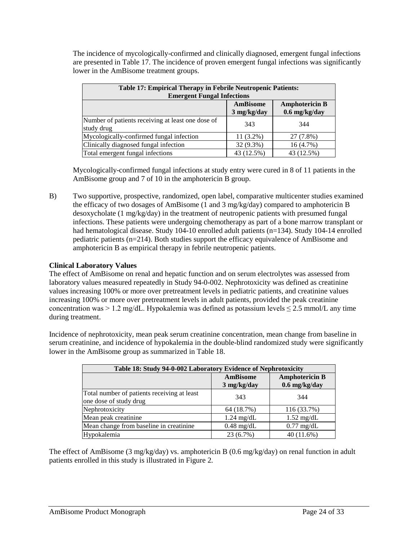The incidence of mycologically-confirmed and clinically diagnosed, emergent fungal infections are presented in Table 17. The incidence of proven emergent fungal infections was significantly lower in the AmBisome treatment groups.

| <b>Table 17: Empirical Therapy in Febrile Neutropenic Patients:</b><br><b>Emergent Fungal Infections</b> |             |            |  |  |  |
|----------------------------------------------------------------------------------------------------------|-------------|------------|--|--|--|
| <b>Amphotericin B</b><br>AmBisome<br>$0.6$ mg/kg/day<br>$3$ mg/kg/day                                    |             |            |  |  |  |
| Number of patients receiving at least one dose of<br>study drug                                          | 343         | 344        |  |  |  |
| Mycologically-confirmed fungal infection                                                                 | $11(3.2\%)$ | 27 (7.8%)  |  |  |  |
| Clinically diagnosed fungal infection                                                                    | 32 (9.3%)   | 16(4.7%)   |  |  |  |
| Total emergent fungal infections                                                                         | 43 (12.5%)  | 43 (12.5%) |  |  |  |

Mycologically-confirmed fungal infections at study entry were cured in 8 of 11 patients in the AmBisome group and 7 of 10 in the amphotericin B group.

B) Two supportive, prospective, randomized, open label, comparative multicenter studies examined the efficacy of two dosages of AmBisome (1 and 3 mg/kg/day) compared to amphotericin B desoxycholate (1 mg/kg/day) in the treatment of neutropenic patients with presumed fungal infections. These patients were undergoing chemotherapy as part of a bone marrow transplant or had hematological disease. Study 104-10 enrolled adult patients (n=134). Study 104-14 enrolled pediatric patients (n=214). Both studies support the efficacy equivalence of AmBisome and amphotericin B as empirical therapy in febrile neutropenic patients.

# **Clinical Laboratory Values**

The effect of AmBisome on renal and hepatic function and on serum electrolytes was assessed from laboratory values measured repeatedly in Study 94-0-002. Nephrotoxicity was defined as creatinine values increasing 100% or more over pretreatment levels in pediatric patients, and creatinine values increasing 100% or more over pretreatment levels in adult patients, provided the peak creatinine concentration was > 1.2 mg/dL. Hypokalemia was defined as potassium levels  $\leq$  2.5 mmol/L any time during treatment.

Incidence of nephrotoxicity, mean peak serum creatinine concentration, mean change from baseline in serum creatinine, and incidence of hypokalemia in the double-blind randomized study were significantly lower in the AmBisome group as summarized in Table 18.

| Table 18: Study 94-0-002 Laboratory Evidence of Nephrotoxicity        |                                  |                                          |  |  |  |
|-----------------------------------------------------------------------|----------------------------------|------------------------------------------|--|--|--|
|                                                                       | <b>AmBisome</b><br>$3$ mg/kg/day | <b>Amphotericin B</b><br>$0.6$ mg/kg/day |  |  |  |
| Total number of patients receiving at least<br>one dose of study drug | 343                              | 344                                      |  |  |  |
| Nephrotoxicity                                                        | 64 (18.7%)                       | 116 (33.7%)                              |  |  |  |
| Mean peak creatinine                                                  | $1.24 \text{ mg/dL}$             | $1.52 \text{ mg/dL}$                     |  |  |  |
| Mean change from baseline in creatinine                               | $0.48$ mg/dL                     | $0.77$ mg/dL                             |  |  |  |
| Hypokalemia                                                           | 23 (6.7%)                        | 40 (11.6%)                               |  |  |  |

The effect of AmBisome (3 mg/kg/day) vs. amphotericin B (0.6 mg/kg/day) on renal function in adult patients enrolled in this study is illustrated in Figure 2.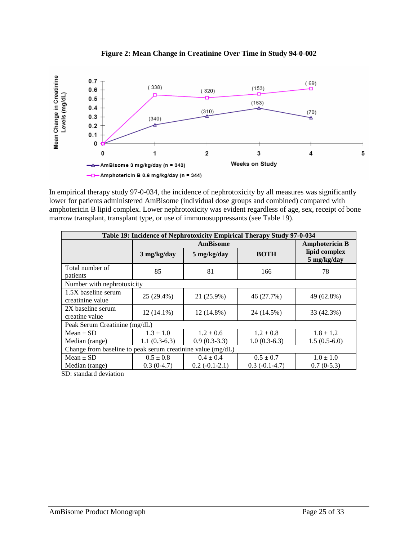

**Figure 2: Mean Change in Creatinine Over Time in Study 94-0-002**

In empirical therapy study 97-0-034, the incidence of nephrotoxicity by all measures was significantly lower for patients administered AmBisome (individual dose groups and combined) compared with amphotericin B lipid complex. Lower nephrotoxicity was evident regardless of age, sex, receipt of bone marrow transplant, transplant type, or use of immunosuppressants (see Table 19).

| Table 19: Incidence of Nephrotoxicity Empirical Therapy Study 97-0-034 |                |                 |                       |                              |  |  |
|------------------------------------------------------------------------|----------------|-----------------|-----------------------|------------------------------|--|--|
|                                                                        |                |                 | <b>Amphotericin B</b> |                              |  |  |
|                                                                        | $3$ mg/kg/day  | 5 mg/kg/day     | <b>BOTH</b>           | lipid complex<br>5 mg/kg/day |  |  |
| Total number of<br>patients                                            | 85             | 81              | 166                   | 78                           |  |  |
| Number with nephrotoxicity                                             |                |                 |                       |                              |  |  |
| $1.5X$ baseline serum<br>creatinine value                              | 25 (29.4%)     | 21 (25.9%)      | 46 (27.7%)            | 49 (62.8%)                   |  |  |
| 2X baseline serum<br>creatine value                                    | $12(14.1\%)$   | 12 (14.8%)      | 24 (14.5%)            | 33 (42.3%)                   |  |  |
| Peak Serum Creatinine (mg/dL)                                          |                |                 |                       |                              |  |  |
| Mean $\pm$ SD                                                          | $1.3 \pm 1.0$  | $1.2 \pm 0.6$   | $1.2 \pm 0.8$         | $1.8 \pm 1.2$                |  |  |
| Median (range)                                                         | $1.1(0.3-6.3)$ | $0.9(0.3-3.3)$  | $1.0(0.3-6.3)$        | $1.5(0.5-6.0)$               |  |  |
| Change from baseline to peak serum creatinine value (mg/dL)            |                |                 |                       |                              |  |  |
| $Mean \pm SD$                                                          | $0.5 \pm 0.8$  | $0.4 \pm 0.4$   | $0.5 \pm 0.7$         | $1.0 \pm 1.0$                |  |  |
| Median (range)<br>$\sim$ $\sim$ $\sim$ $\sim$ $\sim$ $\sim$            | $0.3(0-4.7)$   | $0.2(-0.1-2.1)$ | $0.3(-0.1-4.7)$       | $0.7(0-5.3)$                 |  |  |

SD: standard deviation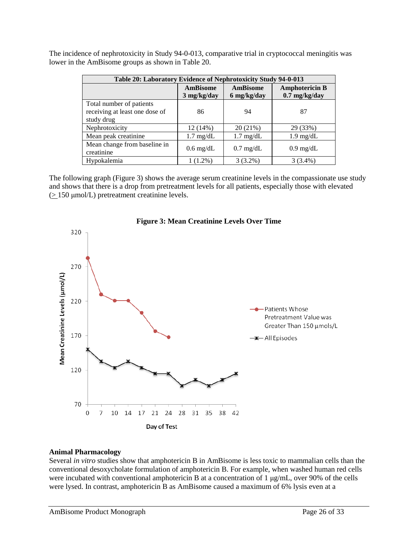The incidence of nephrotoxicity in Study 94-0-013, comparative trial in cryptococcal meningitis was lower in the AmBisome groups as shown in Table 20.

| Table 20: Laboratory Evidence of Nephrotoxicity Study 94-0-013 |                       |                     |                       |  |  |
|----------------------------------------------------------------|-----------------------|---------------------|-----------------------|--|--|
|                                                                | <b>AmBisome</b>       | <b>AmBisome</b>     | <b>Amphotericin B</b> |  |  |
|                                                                | $3 \text{ mg/kg/day}$ | 6 mg/kg/day         | $0.7$ mg/kg/day       |  |  |
| Total number of patients                                       |                       |                     |                       |  |  |
| receiving at least one dose of                                 | 86                    | 94                  | 87                    |  |  |
| study drug                                                     |                       |                     |                       |  |  |
| Nephrotoxicity                                                 | 12 (14%)              | 20 (21%)            | 29 (33%)              |  |  |
| Mean peak creatinine                                           | $1.7 \text{ mg/dL}$   | $1.7 \text{ mg/dL}$ | $1.9 \text{ mg/dL}$   |  |  |
| Mean change from baseline in                                   |                       |                     |                       |  |  |
| creatinine                                                     | $0.6 \text{ mg/dL}$   | $0.7 \text{ mg/dL}$ | $0.9 \text{ mg/dL}$   |  |  |
| Hypokalemia                                                    | $1(1.2\%)$            | $3(3.2\%)$          | $3(3.4\%)$            |  |  |

The following graph (Figure 3) shows the average serum creatinine levels in the compassionate use study and shows that there is a drop from pretreatment levels for all patients, especially those with elevated (> 150 μmol/L) pretreatment creatinine levels.



# **Figure 3: Mean Creatinine Levels Over Time**

#### **Animal Pharmacology**

Several *in vitro* studies show that amphotericin B in AmBisome is less toxic to mammalian cells than the conventional desoxycholate formulation of amphotericin B. For example, when washed human red cells were incubated with conventional amphotericin B at a concentration of 1 μg/mL, over 90% of the cells were lysed. In contrast, amphotericin B as AmBisome caused a maximum of 6% lysis even at a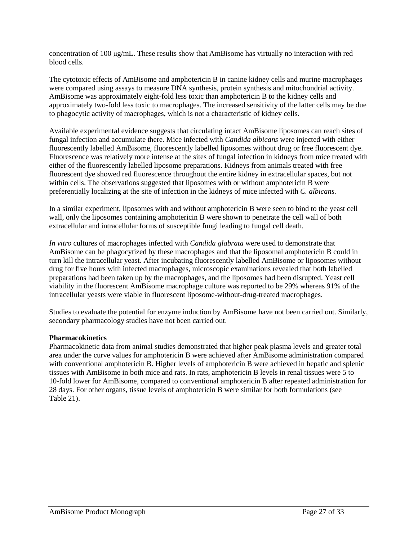concentration of 100 μg/mL. These results show that AmBisome has virtually no interaction with red blood cells.

The cytotoxic effects of AmBisome and amphotericin B in canine kidney cells and murine macrophages were compared using assays to measure DNA synthesis, protein synthesis and mitochondrial activity. AmBisome was approximately eight-fold less toxic than amphotericin B to the kidney cells and approximately two-fold less toxic to macrophages. The increased sensitivity of the latter cells may be due to phagocytic activity of macrophages, which is not a characteristic of kidney cells.

Available experimental evidence suggests that circulating intact AmBisome liposomes can reach sites of fungal infection and accumulate there. Mice infected with *Candida albicans* were injected with either fluorescently labelled AmBisome, fluorescently labelled liposomes without drug or free fluorescent dye. Fluorescence was relatively more intense at the sites of fungal infection in kidneys from mice treated with either of the fluorescently labelled liposome preparations. Kidneys from animals treated with free fluorescent dye showed red fluorescence throughout the entire kidney in extracellular spaces, but not within cells. The observations suggested that liposomes with or without amphotericin B were preferentially localizing at the site of infection in the kidneys of mice infected with *C. albicans*.

In a similar experiment, liposomes with and without amphotericin B were seen to bind to the yeast cell wall, only the liposomes containing amphotericin B were shown to penetrate the cell wall of both extracellular and intracellular forms of susceptible fungi leading to fungal cell death.

*In vitro* cultures of macrophages infected with *Candida glabrata* were used to demonstrate that AmBisome can be phagocytized by these macrophages and that the liposomal amphotericin B could in turn kill the intracellular yeast. After incubating fluorescently labelled AmBisome or liposomes without drug for five hours with infected macrophages, microscopic examinations revealed that both labelled preparations had been taken up by the macrophages, and the liposomes had been disrupted. Yeast cell viability in the fluorescent AmBisome macrophage culture was reported to be 29% whereas 91% of the intracellular yeasts were viable in fluorescent liposome-without-drug-treated macrophages.

Studies to evaluate the potential for enzyme induction by AmBisome have not been carried out. Similarly, secondary pharmacology studies have not been carried out.

# **Pharmacokinetics**

Pharmacokinetic data from animal studies demonstrated that higher peak plasma levels and greater total area under the curve values for amphotericin B were achieved after AmBisome administration compared with conventional amphotericin B. Higher levels of amphotericin B were achieved in hepatic and splenic tissues with AmBisome in both mice and rats. In rats, amphotericin B levels in renal tissues were 5 to 10-fold lower for AmBisome, compared to conventional amphotericin B after repeated administration for 28 days. For other organs, tissue levels of amphotericin B were similar for both formulations (see Table 21).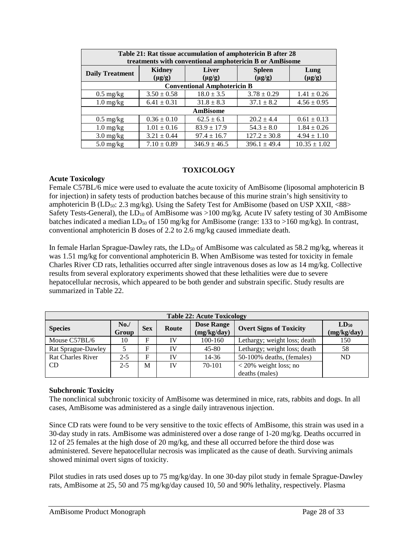| Table 21: Rat tissue accumulation of amphotericin B after 28<br>treatments with conventional amphotericin B or AmBisome |                       |                             |                              |                     |  |  |
|-------------------------------------------------------------------------------------------------------------------------|-----------------------|-----------------------------|------------------------------|---------------------|--|--|
| <b>Daily Treatment</b>                                                                                                  | Kidney<br>$(\mu g/g)$ | <b>Liver</b><br>$(\mu g/g)$ | <b>Spleen</b><br>$(\mu g/g)$ | Lung<br>$(\mu g/g)$ |  |  |
| <b>Conventional Amphotericin B</b>                                                                                      |                       |                             |                              |                     |  |  |
| $0.5 \text{ mg/kg}$                                                                                                     | $3.50 \pm 0.58$       | $18.0 \pm 3.5$              | $3.78 \pm 0.29$              | $1.41 \pm 0.26$     |  |  |
| $1.0 \text{ mg/kg}$                                                                                                     | $6.41 \pm 0.31$       | $31.8 \pm 8.3$              | $37.1 \pm 8.2$               | $4.56 \pm 0.95$     |  |  |
| <b>AmBisome</b>                                                                                                         |                       |                             |                              |                     |  |  |
| $0.5 \text{ mg/kg}$                                                                                                     | $0.36 \pm 0.10$       | $62.5 \pm 6.1$              | $20.2 \pm 4.4$               | $0.61 \pm 0.13$     |  |  |
| $1.0$ mg/kg                                                                                                             | $1.01 \pm 0.16$       | $83.9 \pm 17.9$             | $54.3 \pm 8.0$               | $1.84 \pm 0.26$     |  |  |
| $3.0 \frac{\text{mg}}{\text{kg}}$                                                                                       | $3.21 \pm 0.44$       | $97.4 \pm 16.7$             | $127.2 \pm 30.8$             | $4.94 \pm 1.10$     |  |  |
| $5.0 \text{ mg/kg}$                                                                                                     | $7.10 \pm 0.89$       | $346.9 \pm 46.5$            | $396.1 \pm 49.4$             | $10.35 \pm 1.02$    |  |  |

# **TOXICOLOGY**

### **Acute Toxicology**

Female C57BL/6 mice were used to evaluate the acute toxicity of AmBisome (liposomal amphotericin B for injection) in safety tests of production batches because of this murine strain's high sensitivity to amphotericin B  $(LD_{50}: 2.3 \text{ mg/kg})$ . Using the Safety Test for AmBisome (based on USP XXII, <88> Safety Tests-General), the  $LD_{10}$  of AmBisome was >100 mg/kg. Acute IV safety testing of 30 AmBisome batches indicated a median  $LD_{50}$  of 150 mg/kg for AmBisome (range: 133 to >160 mg/kg). In contrast, conventional amphotericin B doses of 2.2 to 2.6 mg/kg caused immediate death.

In female Harlan Sprague-Dawley rats, the  $LD_{50}$  of AmBisome was calculated as 58.2 mg/kg, whereas it was 1.51 mg/kg for conventional amphotericin B. When AmBisome was tested for toxicity in female Charles River CD rats, lethalities occurred after single intravenous doses as low as 14 mg/kg. Collective results from several exploratory experiments showed that these lethalities were due to severe hepatocellular necrosis, which appeared to be both gender and substrain specific. Study results are summarized in Table 22.

| <b>Table 22: Acute Toxicology</b> |              |            |       |                                  |                                |                          |
|-----------------------------------|--------------|------------|-------|----------------------------------|--------------------------------|--------------------------|
| <b>Species</b>                    | No.<br>Group | <b>Sex</b> | Route | <b>Dose Range</b><br>(mg/kg/day) | <b>Overt Signs of Toxicity</b> | $LD_{50}$<br>(mg/kg/day) |
| Mouse $C57BL/6$                   | 10           | F          | IV    | 100-160                          | Lethargy; weight loss; death   | 150                      |
| Rat Sprague-Dawley                |              | F          | IV    | $45 - 80$                        | Lethargy; weight loss; death   | 58                       |
| <b>Rat Charles River</b>          | $2 - 5$      | F          | IV    | 14-36                            | 50-100% deaths, (females)      | <b>ND</b>                |
| CD.                               | $2 - 5$      | M          | IV    | 70-101                           | $<$ 20% weight loss; no        |                          |
|                                   |              |            |       |                                  | deaths (males)                 |                          |

### **Subchronic Toxicity**

The nonclinical subchronic toxicity of AmBisome was determined in mice, rats, rabbits and dogs. In all cases, AmBisome was administered as a single daily intravenous injection.

Since CD rats were found to be very sensitive to the toxic effects of AmBisome, this strain was used in a 30-day study in rats. AmBisome was administered over a dose range of 1-20 mg/kg. Deaths occurred in 12 of 25 females at the high dose of 20 mg/kg, and these all occurred before the third dose was administered. Severe hepatocellular necrosis was implicated as the cause of death. Surviving animals showed minimal overt signs of toxicity.

Pilot studies in rats used doses up to 75 mg/kg/day. In one 30-day pilot study in female Sprague-Dawley rats, AmBisome at 25, 50 and 75 mg/kg/day caused 10, 50 and 90% lethality, respectively. Plasma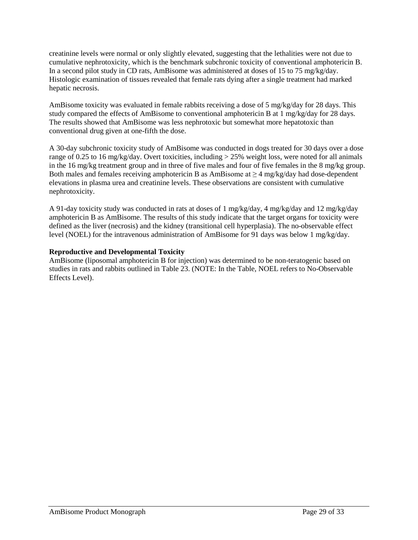creatinine levels were normal or only slightly elevated, suggesting that the lethalities were not due to cumulative nephrotoxicity, which is the benchmark subchronic toxicity of conventional amphotericin B. In a second pilot study in CD rats, AmBisome was administered at doses of 15 to 75 mg/kg/day. Histologic examination of tissues revealed that female rats dying after a single treatment had marked hepatic necrosis.

AmBisome toxicity was evaluated in female rabbits receiving a dose of 5 mg/kg/day for 28 days. This study compared the effects of AmBisome to conventional amphotericin B at 1 mg/kg/day for 28 days. The results showed that AmBisome was less nephrotoxic but somewhat more hepatotoxic than conventional drug given at one-fifth the dose.

A 30-day subchronic toxicity study of AmBisome was conducted in dogs treated for 30 days over a dose range of 0.25 to 16 mg/kg/day. Overt toxicities, including  $> 25\%$  weight loss, were noted for all animals in the 16 mg/kg treatment group and in three of five males and four of five females in the 8 mg/kg group. Both males and females receiving amphotericin B as AmBisome at  $\geq 4$  mg/kg/day had dose-dependent elevations in plasma urea and creatinine levels. These observations are consistent with cumulative nephrotoxicity.

A 91-day toxicity study was conducted in rats at doses of 1 mg/kg/day, 4 mg/kg/day and 12 mg/kg/day amphotericin B as AmBisome. The results of this study indicate that the target organs for toxicity were defined as the liver (necrosis) and the kidney (transitional cell hyperplasia). The no-observable effect level (NOEL) for the intravenous administration of AmBisome for 91 days was below 1 mg/kg/day.

# **Reproductive and Developmental Toxicity**

AmBisome (liposomal amphotericin B for injection) was determined to be non-teratogenic based on studies in rats and rabbits outlined in Table 23. (NOTE: In the Table, NOEL refers to No-Observable Effects Level).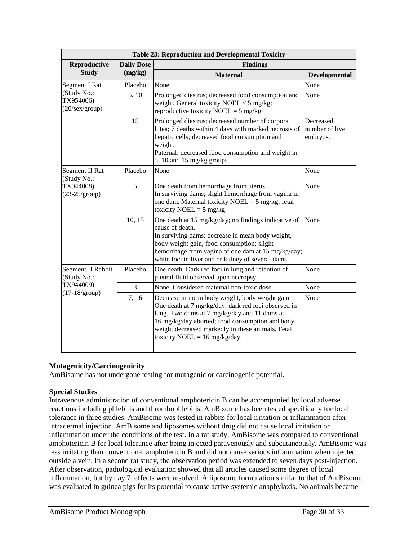| <b>Table 23: Reproduction and Developmental Toxicity</b>                |                   |                                                                                                                                                                                                                                                                                                            |                                         |  |  |  |
|-------------------------------------------------------------------------|-------------------|------------------------------------------------------------------------------------------------------------------------------------------------------------------------------------------------------------------------------------------------------------------------------------------------------------|-----------------------------------------|--|--|--|
| Reproductive                                                            | <b>Daily Dose</b> | <b>Findings</b>                                                                                                                                                                                                                                                                                            |                                         |  |  |  |
| <b>Study</b>                                                            | (mg/kg)           | <b>Maternal</b>                                                                                                                                                                                                                                                                                            | Developmental                           |  |  |  |
| <b>Segment I Rat</b>                                                    | Placebo           | None                                                                                                                                                                                                                                                                                                       | None                                    |  |  |  |
| (Study No.:<br>TX954006)<br>$(20/\text{sex/group})$                     | 5, 10             | Prolonged diestrus; decreased food consumption and<br>weight. General toxicity $NOEL < 5$ mg/kg;<br>reproductive toxicity NOEL = $5 \text{ mg/kg}$                                                                                                                                                         | None                                    |  |  |  |
|                                                                         | 15                | Prolonged diestrus; decreased number of corpora<br>lutea; 7 deaths within 4 days with marked necrosis of<br>hepatic cells; decreased food consumption and<br>weight.<br>Paternal: decreased food consumption and weight in<br>5, 10 and 15 mg/kg groups.                                                   | Decreased<br>number of live<br>embryos. |  |  |  |
| Segment II Rat<br>(Study No.:<br>TX944008)<br>$(23-25/\text{group})$    | Placebo           | None                                                                                                                                                                                                                                                                                                       | None                                    |  |  |  |
|                                                                         | 5                 | One death from hemorrhage from uterus.<br>In surviving dams; slight hemorrhage from vagina in<br>one dam. Maternal toxicity NOEL = $5 \text{ mg/kg}$ ; fetal<br>toxicity NOEL = $5 \text{ mg/kg}$ .                                                                                                        | None                                    |  |  |  |
|                                                                         | 10, 15            | One death at 15 mg/kg/day; no findings indicative of<br>cause of death.<br>In surviving dams: decrease in mean body weight,<br>body weight gain, food consumption; slight<br>hemorrhage from vagina of one dam at 15 mg/kg/day;<br>white foci in liver and or kidney of several dams.                      | None                                    |  |  |  |
| Segment II Rabbit<br>(Study No.:<br>TX944009)<br>$(17-18/\text{group})$ | Placebo           | One death. Dark red foci in lung and retention of<br>pleural fluid observed upon necropsy.                                                                                                                                                                                                                 | None                                    |  |  |  |
|                                                                         | 3                 | None. Considered maternal non-toxic dose.                                                                                                                                                                                                                                                                  | None                                    |  |  |  |
|                                                                         | 7,16              | Decrease in mean body weight, body weight gain.<br>One death at 7 mg/kg/day; dark red foci observed in<br>lung. Two dams at 7 mg/kg/day and 11 dams at<br>16 mg/kg/day aborted; food consumption and body<br>weight decreased markedly in these animals. Fetal<br>toxicity NOEL = $16 \text{ mg/kg/day}$ . | None                                    |  |  |  |

# **Mutagenicity/Carcinogenicity**

AmBisome has not undergone testing for mutagenic or carcinogenic potential.

# **Special Studies**

Intravenous administration of conventional amphotericin B can be accompanied by local adverse reactions including phlebitis and thrombophlebitis. AmBisome has been tested specifically for local tolerance in three studies. AmBisome was tested in rabbits for local irritation or inflammation after intradermal injection. AmBisome and liposomes without drug did not cause local irritation or inflammation under the conditions of the test. In a rat study, AmBisome was compared to conventional amphotericin B for local tolerance after being injected paravenously and subcutaneously. AmBisome was less irritating than conventional amphotericin B and did not cause serious inflammation when injected outside a vein. In a second rat study, the observation period was extended to seven days post-injection. After observation, pathological evaluation showed that all articles caused some degree of local inflammation, but by day 7, effects were resolved. A liposome formulation similar to that of AmBisome was evaluated in guinea pigs for its potential to cause active systemic anaphylaxis. No animals became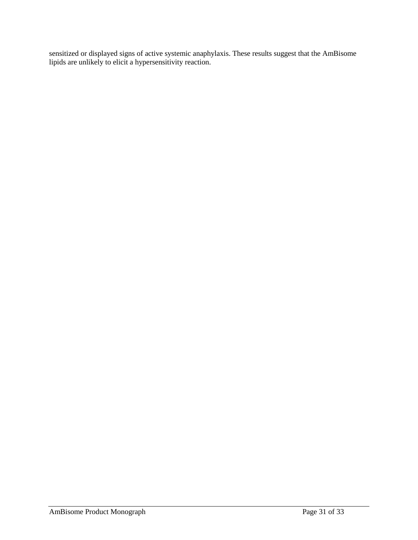sensitized or displayed signs of active systemic anaphylaxis. These results suggest that the AmBisome lipids are unlikely to elicit a hypersensitivity reaction.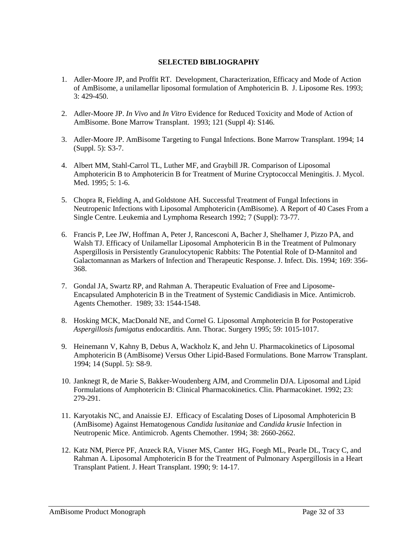# **SELECTED BIBLIOGRAPHY**

- 1. Adler-Moore JP, and Proffit RT. Development, Characterization, Efficacy and Mode of Action of AmBisome, a unilamellar liposomal formulation of Amphotericin B. J. Liposome Res. 1993; 3: 429-450.
- 2. Adler-Moore JP. *In Vivo* and *In Vitro* Evidence for Reduced Toxicity and Mode of Action of AmBisome. Bone Marrow Transplant. 1993; 121 (Suppl 4): S146.
- 3. Adler-Moore JP. AmBisome Targeting to Fungal Infections. Bone Marrow Transplant. 1994; 14 (Suppl. 5): S3-7.
- 4. Albert MM, Stahl-Carrol TL, Luther MF, and Graybill JR. Comparison of Liposomal Amphotericin B to Amphotericin B for Treatment of Murine Cryptococcal Meningitis. J. Mycol. Med. 1995; 5: 1-6.
- 5. Chopra R, Fielding A, and Goldstone AH. Successful Treatment of Fungal Infections in Neutropenic Infections with Liposomal Amphotericin (AmBisome). A Report of 40 Cases From a Single Centre. Leukemia and Lymphoma Research 1992; 7 (Suppl): 73-77.
- 6. Francis P, Lee JW, Hoffman A, Peter J, Rancesconi A, Bacher J, Shelhamer J, Pizzo PA, and Walsh TJ. Efficacy of Unilamellar Liposomal Amphotericin B in the Treatment of Pulmonary Aspergillosis in Persistently Granulocytopenic Rabbits: The Potential Role of D-Mannitol and Galactomannan as Markers of Infection and Therapeutic Response. J. Infect. Dis. 1994; 169: 356- 368.
- 7. Gondal JA, Swartz RP, and Rahman A. Therapeutic Evaluation of Free and Liposome-Encapsulated Amphotericin B in the Treatment of Systemic Candidiasis in Mice. Antimicrob. Agents Chemother. 1989; 33: 1544-1548.
- 8. Hosking MCK, MacDonald NE, and Cornel G. Liposomal Amphotericin B for Postoperative *Aspergillosis fumigatus* endocarditis. Ann. Thorac. Surgery 1995; 59: 1015-1017.
- 9. Heinemann V, Kahny B, Debus A, Wackholz K, and Jehn U. Pharmacokinetics of Liposomal Amphotericin B (AmBisome) Versus Other Lipid-Based Formulations. Bone Marrow Transplant. 1994; 14 (Suppl. 5): S8-9.
- 10. Janknegt R, de Marie S, Bakker-Woudenberg AJM, and Crommelin DJA. Liposomal and Lipid Formulations of Amphotericin B: Clinical Pharmacokinetics. Clin. Pharmacokinet. 1992; 23: 279-291.
- 11. Karyotakis NC, and Anaissie EJ. Efficacy of Escalating Doses of Liposomal Amphotericin B (AmBisome) Against Hematogenous *Candida lusitaniae* and *Candida krusie* Infection in Neutropenic Mice. Antimicrob. Agents Chemother. 1994; 38: 2660-2662.
- 12. Katz NM, Pierce PF, Anzeck RA, Visner MS, Canter HG, Foegh ML, Pearle DL, Tracy C, and Rahman A. Liposomal Amphotericin B for the Treatment of Pulmonary Aspergillosis in a Heart Transplant Patient. J. Heart Transplant. 1990; 9: 14-17.